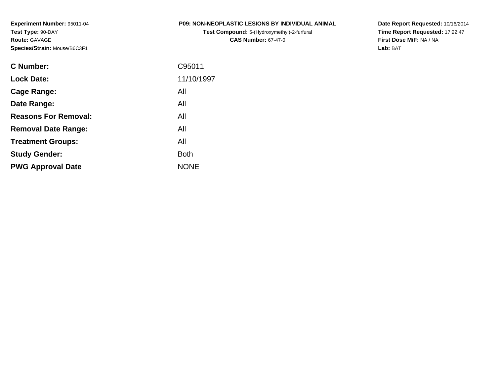**Experiment Number:** 95011-04**Test Type:** 90-DAY**Route:** GAVAGE**Species/Strain:** Mouse/B6C3F1

**Test Compound:** 5-(Hydroxymethyl)-2-furfural **CAS Number:** 67-47-0

**Date Report Requested:** 10/16/2014 **Time Report Requested:** 17:22:47**First Dose M/F:** NA / NA**Lab:** BAT

| 11/10/1997<br><b>Lock Date:</b><br>All<br>Cage Range:<br>All<br>Date Range:<br><b>Reasons For Removal:</b><br>All<br>All<br><b>Removal Date Range:</b><br>All<br><b>Treatment Groups:</b><br><b>Both</b><br><b>Study Gender:</b><br><b>NONE</b><br><b>PWG Approval Date</b> | C95011 |
|-----------------------------------------------------------------------------------------------------------------------------------------------------------------------------------------------------------------------------------------------------------------------------|--------|
|                                                                                                                                                                                                                                                                             |        |
|                                                                                                                                                                                                                                                                             |        |
|                                                                                                                                                                                                                                                                             |        |
|                                                                                                                                                                                                                                                                             |        |
|                                                                                                                                                                                                                                                                             |        |
|                                                                                                                                                                                                                                                                             |        |
|                                                                                                                                                                                                                                                                             |        |
|                                                                                                                                                                                                                                                                             |        |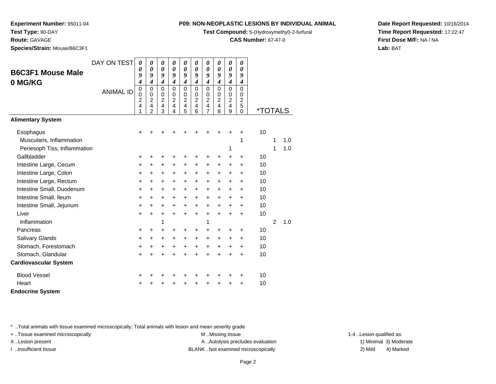**Test Compound:** 5-(Hydroxymethyl)-2-furfural

**CAS Number:** 67-47-0

**Date Report Requested:** 10/16/2014**Time Report Requested:** 17:22:47**First Dose M/F:** NA / NA**Lab:** BAT

**Test Type:** 90-DAY

**Species/Strain:** Mouse/B6C3F1

**Experiment Number:** 95011-04

| <b>B6C3F1 Mouse Male</b>              | DAY ON TEST      | $\boldsymbol{\theta}$<br>0<br>9                                | 0<br>0<br>9                                                                                 | 0<br>$\boldsymbol{\theta}$<br>9                                                        | 0<br>$\boldsymbol{\theta}$<br>9                                                        | 0<br>$\boldsymbol{\theta}$<br>9                                                        | 0<br>0<br>9                                                                                   | 0<br>$\boldsymbol{\theta}$<br>9                                                                   | 0<br>$\boldsymbol{\theta}$<br>9                               | 0<br>0<br>9                                                                              | 0<br>0<br>9                                                          |                       |                |     |
|---------------------------------------|------------------|----------------------------------------------------------------|---------------------------------------------------------------------------------------------|----------------------------------------------------------------------------------------|----------------------------------------------------------------------------------------|----------------------------------------------------------------------------------------|-----------------------------------------------------------------------------------------------|---------------------------------------------------------------------------------------------------|---------------------------------------------------------------|------------------------------------------------------------------------------------------|----------------------------------------------------------------------|-----------------------|----------------|-----|
| 0 MG/KG                               | <b>ANIMAL ID</b> | 4<br>0<br>$\mathbf 0$<br>$\overline{c}$<br>$\overline{4}$<br>1 | $\overline{\boldsymbol{4}}$<br>0<br>0<br>$\overline{c}$<br>$\overline{4}$<br>$\overline{2}$ | $\boldsymbol{4}$<br>$\mathbf 0$<br>0<br>$\overline{c}$<br>$\overline{\mathbf{4}}$<br>3 | $\boldsymbol{4}$<br>$\mathbf 0$<br>0<br>$\overline{c}$<br>$\overline{\mathbf{4}}$<br>4 | $\boldsymbol{4}$<br>$\mathbf 0$<br>0<br>$\overline{c}$<br>$\overline{\mathbf{4}}$<br>5 | $\boldsymbol{4}$<br>$\Omega$<br>$\mathbf 0$<br>$\overline{c}$<br>$\overline{\mathbf{4}}$<br>6 | $\overline{4}$<br>$\mathbf 0$<br>0<br>$\overline{c}$<br>$\overline{\mathbf{4}}$<br>$\overline{7}$ | $\boldsymbol{4}$<br>$\Omega$<br>0<br>$\overline{c}$<br>4<br>8 | $\boldsymbol{4}$<br>$\mathbf 0$<br>0<br>$\boldsymbol{2}$<br>$\overline{\mathbf{4}}$<br>9 | $\boldsymbol{4}$<br>$\Omega$<br>0<br>$\overline{2}$<br>5<br>$\Omega$ | <i><b>*TOTALS</b></i> |                |     |
| <b>Alimentary System</b>              |                  |                                                                |                                                                                             |                                                                                        |                                                                                        |                                                                                        |                                                                                               |                                                                                                   |                                                               |                                                                                          |                                                                      |                       |                |     |
| Esophagus<br>Muscularis, Inflammation |                  | $\ddot{}$                                                      |                                                                                             |                                                                                        |                                                                                        |                                                                                        |                                                                                               |                                                                                                   |                                                               |                                                                                          | +<br>1                                                               | 10                    | 1              | 1.0 |
| Periesoph Tiss, Inflammation          |                  |                                                                |                                                                                             |                                                                                        |                                                                                        |                                                                                        |                                                                                               |                                                                                                   |                                                               | 1                                                                                        |                                                                      |                       | 1              | 1.0 |
| Gallbladder                           |                  | +                                                              | +                                                                                           | +                                                                                      |                                                                                        | +                                                                                      | +                                                                                             | +                                                                                                 | +                                                             | $\ddot{}$                                                                                | $\ddot{}$                                                            | 10                    |                |     |
| Intestine Large, Cecum                |                  | +                                                              | $\ddot{}$                                                                                   | +                                                                                      | $\ddot{}$                                                                              | $\ddot{}$                                                                              | $\ddot{}$                                                                                     | +                                                                                                 | $\ddot{}$                                                     | $\ddot{}$                                                                                | $\ddot{}$                                                            | 10                    |                |     |
| Intestine Large, Colon                |                  | +                                                              | +                                                                                           | +                                                                                      | +                                                                                      | +                                                                                      | +                                                                                             | $\ddot{}$                                                                                         | $\ddot{}$                                                     | $\ddot{}$                                                                                | $\ddot{}$                                                            | 10                    |                |     |
| Intestine Large, Rectum               |                  | +                                                              | $+$                                                                                         | $\ddot{}$                                                                              | $\ddot{}$                                                                              | $\ddot{}$                                                                              | $\ddot{}$                                                                                     | +                                                                                                 | $\ddot{}$                                                     | $\ddot{}$                                                                                | $\ddot{}$                                                            | 10                    |                |     |
| Intestine Small, Duodenum             |                  | +                                                              | +                                                                                           | $\ddot{}$                                                                              | $\ddot{}$                                                                              | $\ddot{}$                                                                              | $+$                                                                                           | +                                                                                                 | $\ddot{}$                                                     | $\pm$                                                                                    | $\ddot{}$                                                            | 10                    |                |     |
| Intestine Small, Ileum                |                  | +                                                              | $\ddot{}$                                                                                   | $\ddot{}$                                                                              | $\ddot{}$                                                                              | $\ddot{}$                                                                              | $\ddot{}$                                                                                     | $\ddot{}$                                                                                         | $\ddot{}$                                                     | $+$                                                                                      | $\ddot{}$                                                            | 10                    |                |     |
| Intestine Small, Jejunum              |                  | +                                                              | +                                                                                           | +                                                                                      | +                                                                                      | $\ddot{}$                                                                              | $\ddot{}$                                                                                     | +                                                                                                 | $\ddot{}$                                                     | +                                                                                        | $\ddot{}$                                                            | 10                    |                |     |
| Liver                                 |                  | $\ddot{}$                                                      | $\ddot{}$                                                                                   | $\ddot{}$                                                                              | $\ddot{}$                                                                              | $\ddot{}$                                                                              | $\ddot{}$                                                                                     | $\ddot{}$                                                                                         | $+$                                                           | +                                                                                        | $+$                                                                  | 10                    |                |     |
| Inflammation                          |                  |                                                                |                                                                                             | 1                                                                                      |                                                                                        |                                                                                        |                                                                                               | 1                                                                                                 |                                                               |                                                                                          |                                                                      |                       | $\overline{2}$ | 1.0 |
| Pancreas                              |                  | +                                                              | +                                                                                           | +                                                                                      | +                                                                                      | +                                                                                      | +                                                                                             | +                                                                                                 | +                                                             | +                                                                                        | +                                                                    | 10                    |                |     |
| Salivary Glands                       |                  | +                                                              | +                                                                                           | $\ddot{}$                                                                              | +                                                                                      | $\ddot{}$                                                                              | $\ddot{}$                                                                                     | $\ddot{}$                                                                                         | $\ddot{}$                                                     | $\ddot{}$                                                                                | $\ddot{}$                                                            | 10                    |                |     |
| Stomach, Forestomach                  |                  | +                                                              | +                                                                                           | +                                                                                      | $\ddot{}$                                                                              | $\ddot{}$                                                                              | $\ddot{}$                                                                                     | $\ddot{}$                                                                                         | $\ddot{}$                                                     | $\ddot{}$                                                                                | $\ddot{}$                                                            | 10                    |                |     |
| Stomach, Glandular                    |                  | +                                                              | +                                                                                           | +                                                                                      | +                                                                                      | +                                                                                      | $\ddot{}$                                                                                     | +                                                                                                 | $\ddot{}$                                                     | $\ddot{}$                                                                                | $\ddot{}$                                                            | 10                    |                |     |
| <b>Cardiovascular System</b>          |                  |                                                                |                                                                                             |                                                                                        |                                                                                        |                                                                                        |                                                                                               |                                                                                                   |                                                               |                                                                                          |                                                                      |                       |                |     |
| <b>Blood Vessel</b>                   |                  | +                                                              | +                                                                                           | +                                                                                      | +                                                                                      | +                                                                                      | +                                                                                             | +                                                                                                 |                                                               | +                                                                                        | +                                                                    | 10                    |                |     |
| Heart                                 |                  | +                                                              |                                                                                             | +                                                                                      |                                                                                        | +                                                                                      | 4                                                                                             | +                                                                                                 | +                                                             | +                                                                                        | +                                                                    | 10                    |                |     |
| <b>Endocrine System</b>               |                  |                                                                |                                                                                             |                                                                                        |                                                                                        |                                                                                        |                                                                                               |                                                                                                   |                                                               |                                                                                          |                                                                      |                       |                |     |

\* ..Total animals with tissue examined microscopically; Total animals with lesion and mean severity grade

+ ..Tissue examined microscopically examined microscopically examined as:  $M$  ..Missing tissue 1-4 ..Lesion qualified as:

X..Lesion present **A ..Autolysis precludes evaluation** A ..Autolysis precludes evaluation 1) Minimal 3) Moderate

I ..Insufficient tissue BLANK ..Not examined microscopically 2) Mild 4) Marked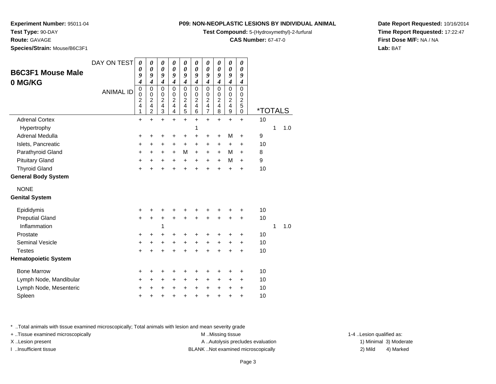**Test Compound:** 5-(Hydroxymethyl)-2-furfural

**CAS Number:** 67-47-0

**Date Report Requested:** 10/16/2014**Time Report Requested:** 17:22:47**First Dose M/F:** NA / NA**Lab:** BAT

**Test Type:** 90-DAY**Route:** GAVAGE

**Experiment Number:** 95011-04

**Species/Strain:** Mouse/B6C3F1

| <b>B6C3F1 Mouse Male</b><br>0 MG/KG | DAY ON TEST<br><b>ANIMAL ID</b> | $\boldsymbol{\theta}$<br>0<br>9<br>$\boldsymbol{4}$<br>$\pmb{0}$<br>$\mathbf 0$<br>$\overline{c}$<br>4<br>1 | 0<br>$\theta$<br>9<br>$\boldsymbol{4}$<br>0<br>$\mathbf 0$<br>2<br>$\overline{\mathbf{4}}$<br>2 | 0<br>$\boldsymbol{\theta}$<br>9<br>$\boldsymbol{4}$<br>$\mathbf 0$<br>$\pmb{0}$<br>$\overline{\mathbf{c}}$<br>4<br>3 | 0<br>$\boldsymbol{\theta}$<br>9<br>$\boldsymbol{4}$<br>$\mathbf 0$<br>$\mathbf 0$<br>$\overline{\mathbf{c}}$<br>4<br>4 | 0<br>0<br>9<br>$\boldsymbol{4}$<br>0<br>0<br>$\overline{\mathbf{c}}$<br>4<br>5 | 0<br>$\boldsymbol{\theta}$<br>9<br>$\boldsymbol{4}$<br>$\mathbf 0$<br>$\mathbf 0$<br>2<br>4<br>6 | 0<br>$\boldsymbol{\theta}$<br>9<br>$\boldsymbol{4}$<br>0<br>$\mathbf 0$<br>2<br>4<br>$\overline{7}$ | 0<br>$\boldsymbol{\theta}$<br>9<br>$\boldsymbol{4}$<br>$\Omega$<br>$\mathbf 0$<br>2<br>$\overline{\mathbf{4}}$<br>8 | 0<br>$\boldsymbol{\theta}$<br>9<br>$\boldsymbol{4}$<br>$\mathbf 0$<br>$\mathbf 0$<br>$\overline{c}$<br>$\overline{\mathbf{4}}$<br>$\boldsymbol{9}$ | 0<br>0<br>9<br>4<br>$\mathbf 0$<br>$\mathbf 0$<br>$\boldsymbol{2}$<br>5<br>$\Omega$ | <i><b>*TOTALS</b></i> |   |     |
|-------------------------------------|---------------------------------|-------------------------------------------------------------------------------------------------------------|-------------------------------------------------------------------------------------------------|----------------------------------------------------------------------------------------------------------------------|------------------------------------------------------------------------------------------------------------------------|--------------------------------------------------------------------------------|--------------------------------------------------------------------------------------------------|-----------------------------------------------------------------------------------------------------|---------------------------------------------------------------------------------------------------------------------|----------------------------------------------------------------------------------------------------------------------------------------------------|-------------------------------------------------------------------------------------|-----------------------|---|-----|
| <b>Adrenal Cortex</b>               |                                 | $\ddot{}$                                                                                                   | $\ddot{}$                                                                                       | $+$                                                                                                                  | $\ddot{}$                                                                                                              | $+$                                                                            | $\ddot{}$                                                                                        | $\ddot{}$                                                                                           | $\ddot{}$                                                                                                           | $\ddot{}$                                                                                                                                          | $\ddot{}$                                                                           | 10                    |   |     |
| Hypertrophy                         |                                 |                                                                                                             |                                                                                                 |                                                                                                                      |                                                                                                                        |                                                                                | 1                                                                                                |                                                                                                     |                                                                                                                     |                                                                                                                                                    |                                                                                     |                       | 1 | 1.0 |
| Adrenal Medulla                     |                                 | +                                                                                                           | +                                                                                               | +                                                                                                                    | +                                                                                                                      | +                                                                              | +                                                                                                | +                                                                                                   | +                                                                                                                   | M                                                                                                                                                  | +                                                                                   | 9                     |   |     |
| Islets, Pancreatic                  |                                 | $\ddot{}$                                                                                                   | $\ddot{}$                                                                                       | $\ddot{}$                                                                                                            | $\ddot{}$                                                                                                              | +                                                                              | +                                                                                                | $\ddot{}$                                                                                           | $\ddot{}$                                                                                                           | $\ddot{}$                                                                                                                                          | $\ddot{}$                                                                           | 10                    |   |     |
| Parathyroid Gland                   |                                 | +                                                                                                           | +                                                                                               | +                                                                                                                    | $\ddot{}$                                                                                                              | M                                                                              | $\ddot{}$                                                                                        | $\ddot{}$                                                                                           | $\ddot{}$                                                                                                           | M                                                                                                                                                  | $\ddot{}$                                                                           | 8                     |   |     |
| <b>Pituitary Gland</b>              |                                 | +                                                                                                           | +                                                                                               | +                                                                                                                    | $\ddot{}$                                                                                                              | $\ddot{}$                                                                      | $\ddot{}$                                                                                        | $\ddot{}$                                                                                           | $\ddot{}$                                                                                                           | M                                                                                                                                                  | $\ddot{}$                                                                           | 9                     |   |     |
| <b>Thyroid Gland</b>                |                                 | $\ddot{}$                                                                                                   | $\ddot{}$                                                                                       | $\ddot{}$                                                                                                            | $\ddot{}$                                                                                                              | $\ddot{}$                                                                      | $\ddot{}$                                                                                        | $\ddot{}$                                                                                           | $\ddot{}$                                                                                                           | $\ddot{}$                                                                                                                                          | $\ddot{}$                                                                           | 10                    |   |     |
| <b>General Body System</b>          |                                 |                                                                                                             |                                                                                                 |                                                                                                                      |                                                                                                                        |                                                                                |                                                                                                  |                                                                                                     |                                                                                                                     |                                                                                                                                                    |                                                                                     |                       |   |     |
| <b>NONE</b>                         |                                 |                                                                                                             |                                                                                                 |                                                                                                                      |                                                                                                                        |                                                                                |                                                                                                  |                                                                                                     |                                                                                                                     |                                                                                                                                                    |                                                                                     |                       |   |     |
| <b>Genital System</b>               |                                 |                                                                                                             |                                                                                                 |                                                                                                                      |                                                                                                                        |                                                                                |                                                                                                  |                                                                                                     |                                                                                                                     |                                                                                                                                                    |                                                                                     |                       |   |     |
| Epididymis                          |                                 | +                                                                                                           | +                                                                                               | +                                                                                                                    |                                                                                                                        |                                                                                |                                                                                                  |                                                                                                     |                                                                                                                     |                                                                                                                                                    | +                                                                                   | 10                    |   |     |
| <b>Preputial Gland</b>              |                                 | $\ddot{}$                                                                                                   | $\ddot{}$                                                                                       | +                                                                                                                    | $\ddot{}$                                                                                                              | $\ddot{}$                                                                      | $\ddot{}$                                                                                        | +                                                                                                   | +                                                                                                                   | +                                                                                                                                                  | $\ddot{}$                                                                           | 10                    |   |     |
| Inflammation                        |                                 |                                                                                                             |                                                                                                 | 1                                                                                                                    |                                                                                                                        |                                                                                |                                                                                                  |                                                                                                     |                                                                                                                     |                                                                                                                                                    |                                                                                     |                       | 1 | 1.0 |
| Prostate                            |                                 | +                                                                                                           | +                                                                                               | +                                                                                                                    | ٠                                                                                                                      | +                                                                              | ٠                                                                                                | +                                                                                                   | ٠                                                                                                                   | +                                                                                                                                                  | +                                                                                   | 10                    |   |     |
| <b>Seminal Vesicle</b>              |                                 | +                                                                                                           | +                                                                                               | +                                                                                                                    | +                                                                                                                      | +                                                                              | +                                                                                                | +                                                                                                   | $\ddot{}$                                                                                                           | +                                                                                                                                                  | +                                                                                   | 10                    |   |     |
| <b>Testes</b>                       |                                 | $\ddot{}$                                                                                                   | $\ddot{}$                                                                                       | +                                                                                                                    | $\ddot{}$                                                                                                              | $\ddot{}$                                                                      | Ŧ.                                                                                               | $\ddot{}$                                                                                           | $\ddot{}$                                                                                                           | $\ddot{}$                                                                                                                                          | +                                                                                   | 10                    |   |     |
| <b>Hematopoietic System</b>         |                                 |                                                                                                             |                                                                                                 |                                                                                                                      |                                                                                                                        |                                                                                |                                                                                                  |                                                                                                     |                                                                                                                     |                                                                                                                                                    |                                                                                     |                       |   |     |
| <b>Bone Marrow</b>                  |                                 | +                                                                                                           | +                                                                                               | +                                                                                                                    |                                                                                                                        | +                                                                              |                                                                                                  | +                                                                                                   |                                                                                                                     |                                                                                                                                                    | +                                                                                   | 10                    |   |     |
| Lymph Node, Mandibular              |                                 | +                                                                                                           | +                                                                                               | +                                                                                                                    | +                                                                                                                      | +                                                                              | $\ddot{}$                                                                                        | +                                                                                                   | +                                                                                                                   | +                                                                                                                                                  | +                                                                                   | 10                    |   |     |
| Lymph Node, Mesenteric              |                                 | +                                                                                                           | +                                                                                               | +                                                                                                                    |                                                                                                                        | +                                                                              | +                                                                                                | +                                                                                                   | +                                                                                                                   | +                                                                                                                                                  | +                                                                                   | 10                    |   |     |
| Spleen                              |                                 | +                                                                                                           | +                                                                                               | +                                                                                                                    | +                                                                                                                      | +                                                                              | +                                                                                                | +                                                                                                   | +                                                                                                                   | +                                                                                                                                                  | +                                                                                   | 10                    |   |     |

\* ..Total animals with tissue examined microscopically; Total animals with lesion and mean severity grade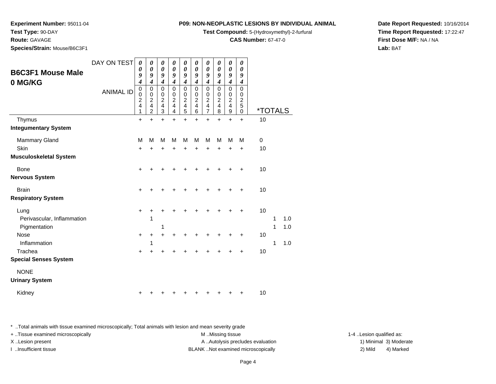**Test Compound:** 5-(Hydroxymethyl)-2-furfural

**CAS Number:** 67-47-0

**Date Report Requested:** 10/16/2014**Time Report Requested:** 17:22:47**First Dose M/F:** NA / NA**Lab:** BAT

**Species/Strain:** Mouse/B6C3F1

**Test Type:** 90-DAY**Route:** GAVAGE

**Experiment Number:** 95011-04

| <b>B6C3F1 Mouse Male</b><br>0 MG/KG<br>Thymus<br><b>Integumentary System</b>                                                 | DAY ON TEST<br><b>ANIMAL ID</b> | 0<br>0<br>9<br>$\boldsymbol{4}$<br>$\mathbf 0$<br>$\mathbf 0$<br>$\overline{c}$<br>4<br>1<br>$\ddot{}$ | 0<br>$\boldsymbol{\theta}$<br>9<br>$\boldsymbol{4}$<br>$\pmb{0}$<br>$\pmb{0}$<br>$\boldsymbol{2}$<br>$\overline{\mathbf{4}}$<br>$\overline{c}$<br>$\ddot{}$ | 0<br>$\boldsymbol{\theta}$<br>9<br>$\boldsymbol{4}$<br>$\mathbf 0$<br>0<br>$\overline{c}$<br>$\overline{\mathbf{4}}$<br>3<br>$\ddot{}$ | 0<br>$\boldsymbol{\theta}$<br>9<br>$\boldsymbol{4}$<br>$\mathbf 0$<br>0<br>$\overline{c}$<br>$\overline{\mathbf{4}}$<br>4<br>$\ddot{}$ | 0<br>$\boldsymbol{\theta}$<br>9<br>$\boldsymbol{4}$<br>$\mathbf 0$<br>0<br>$\boldsymbol{2}$<br>$\overline{\mathbf{4}}$<br>5<br>$\ddot{}$ | 0<br>$\boldsymbol{\theta}$<br>9<br>$\boldsymbol{4}$<br>$\mathbf 0$<br>0<br>$\overline{c}$<br>$\overline{\mathbf{4}}$<br>6<br>$\ddot{}$ | 0<br>$\boldsymbol{\theta}$<br>9<br>$\boldsymbol{4}$<br>$\pmb{0}$<br>$\pmb{0}$<br>$\boldsymbol{2}$<br>$\overline{\mathbf{4}}$<br>$\overline{7}$<br>$\ddot{}$ | 0<br>$\boldsymbol{\theta}$<br>9<br>$\boldsymbol{4}$<br>$\mathbf 0$<br>0<br>$\boldsymbol{2}$<br>$\overline{4}$<br>8<br>$\ddot{}$ | 0<br>$\boldsymbol{\theta}$<br>9<br>$\boldsymbol{4}$<br>0<br>0<br>$\overline{2}$<br>$\overline{\mathbf{4}}$<br>$\boldsymbol{9}$<br>$\ddot{}$ | 0<br>$\boldsymbol{\theta}$<br>9<br>$\boldsymbol{4}$<br>$\mathbf 0$<br>0<br>$\overline{c}$<br>5<br>$\Omega$<br>$\ddot{}$ | <i><b>*TOTALS</b></i><br>10 |             |                   |
|------------------------------------------------------------------------------------------------------------------------------|---------------------------------|--------------------------------------------------------------------------------------------------------|-------------------------------------------------------------------------------------------------------------------------------------------------------------|----------------------------------------------------------------------------------------------------------------------------------------|----------------------------------------------------------------------------------------------------------------------------------------|------------------------------------------------------------------------------------------------------------------------------------------|----------------------------------------------------------------------------------------------------------------------------------------|-------------------------------------------------------------------------------------------------------------------------------------------------------------|---------------------------------------------------------------------------------------------------------------------------------|---------------------------------------------------------------------------------------------------------------------------------------------|-------------------------------------------------------------------------------------------------------------------------|-----------------------------|-------------|-------------------|
| <b>Mammary Gland</b><br><b>Skin</b><br><b>Musculoskeletal System</b>                                                         |                                 | M<br>$\ddot{}$                                                                                         | M<br>÷                                                                                                                                                      | M<br>$\ddot{}$                                                                                                                         | М<br>+                                                                                                                                 | M<br>$\ddot{}$                                                                                                                           | М<br>÷                                                                                                                                 | M<br>$\ddot{}$                                                                                                                                              | М<br>÷                                                                                                                          | M<br>$\ddot{}$                                                                                                                              | M<br>$\ddot{}$                                                                                                          | $\mathbf 0$<br>10           |             |                   |
| <b>Bone</b><br><b>Nervous System</b>                                                                                         |                                 | +                                                                                                      |                                                                                                                                                             |                                                                                                                                        |                                                                                                                                        |                                                                                                                                          |                                                                                                                                        |                                                                                                                                                             |                                                                                                                                 |                                                                                                                                             | +                                                                                                                       | 10                          |             |                   |
| <b>Brain</b><br><b>Respiratory System</b>                                                                                    |                                 | $\ddot{}$                                                                                              |                                                                                                                                                             |                                                                                                                                        |                                                                                                                                        | +                                                                                                                                        |                                                                                                                                        | +                                                                                                                                                           |                                                                                                                                 |                                                                                                                                             | +                                                                                                                       | 10                          |             |                   |
| Lung<br>Perivascular, Inflammation<br>Pigmentation<br><b>Nose</b><br>Inflammation<br>Trachea<br><b>Special Senses System</b> |                                 | $\ddot{}$<br>$\ddot{}$<br>$\ddot{}$                                                                    | 1<br>+<br>1                                                                                                                                                 | 1<br>$\ddot{}$<br>+                                                                                                                    | +                                                                                                                                      |                                                                                                                                          |                                                                                                                                        |                                                                                                                                                             |                                                                                                                                 |                                                                                                                                             | +<br>+                                                                                                                  | 10<br>10<br>10              | 1<br>1<br>1 | 1.0<br>1.0<br>1.0 |
| <b>NONE</b><br><b>Urinary System</b>                                                                                         |                                 |                                                                                                        |                                                                                                                                                             |                                                                                                                                        |                                                                                                                                        |                                                                                                                                          |                                                                                                                                        |                                                                                                                                                             |                                                                                                                                 |                                                                                                                                             |                                                                                                                         |                             |             |                   |
| Kidney                                                                                                                       |                                 |                                                                                                        |                                                                                                                                                             |                                                                                                                                        |                                                                                                                                        |                                                                                                                                          |                                                                                                                                        |                                                                                                                                                             |                                                                                                                                 |                                                                                                                                             |                                                                                                                         | 10                          |             |                   |

\* ..Total animals with tissue examined microscopically; Total animals with lesion and mean severity grade

| + Tissue examined microscopically | M Missing tissue                  | 1-4 Lesion qualified as: |                        |
|-----------------------------------|-----------------------------------|--------------------------|------------------------|
| X Lesion present                  | A Autolysis precludes evaluation  |                          | 1) Minimal 3) Moderate |
| Insufficient tissue               | BLANKNot examined microscopically | 2) Mild                  | 4) Marked              |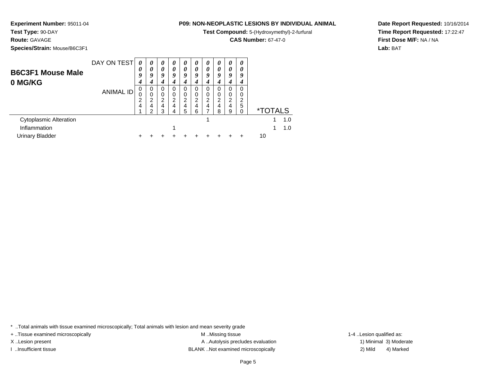**Test Compound:** 5-(Hydroxymethyl)-2-furfural

**CAS Number:** 67-47-0

**Date Report Requested:** 10/16/2014**Time Report Requested:** 17:22:47**First Dose M/F:** NA / NA**Lab:** BAT

**Species/Strain:** Mouse/B6C3F1

**Experiment Number:** 95011-04

**Test Type:** 90-DAY**Route:** GAVAGE

| <b>B6C3F1 Mouse Male</b><br>0 MG/KG | DAY ON TEST      | 0<br>0<br>9<br>4 | 0<br>0<br>9<br>4      | 0<br>$\boldsymbol{\theta}$<br>9<br>4            | $\boldsymbol{\theta}$<br>0<br>9<br>4 | 0<br>0<br>9<br>4                   | 0<br>0<br>9<br>4      | $\theta$<br>0<br>9<br>4            | $\boldsymbol{v}$<br>$\boldsymbol{\theta}$<br>9 | 0<br>0<br>9<br>4        | $\theta$<br>0<br>9<br>4 |                       |     |
|-------------------------------------|------------------|------------------|-----------------------|-------------------------------------------------|--------------------------------------|------------------------------------|-----------------------|------------------------------------|------------------------------------------------|-------------------------|-------------------------|-----------------------|-----|
|                                     | <b>ANIMAL ID</b> | 0<br>0<br>c<br>4 | 0<br>0<br>2<br>4<br>◠ | 0<br>0<br>$\overline{2}$<br>$\overline{4}$<br>з | 0<br>2<br>4<br>$\Lambda$             | 0<br>0<br>2<br>$\overline{4}$<br>5 | 0<br>0<br>2<br>4<br>6 | 0<br>0<br>$\overline{2}$<br>4<br>⇁ | ი<br>2<br>4<br>8                               | $\Omega$<br>2<br>4<br>9 | 0<br>0<br>າ<br>5        | <i><b>*TOTALS</b></i> |     |
| <b>Cytoplasmic Alteration</b>       |                  |                  |                       |                                                 |                                      |                                    |                       |                                    |                                                |                         |                         |                       | 1.0 |
| Inflammation                        |                  |                  |                       |                                                 |                                      |                                    |                       |                                    |                                                |                         |                         |                       | 1.0 |
| Urinary Bladder                     |                  |                  |                       |                                                 |                                      |                                    |                       |                                    |                                                |                         |                         | 10                    |     |

\* ..Total animals with tissue examined microscopically; Total animals with lesion and mean severity grade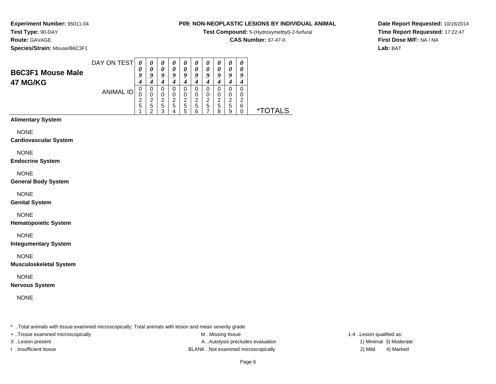**Test Compound:** 5-(Hydroxymethyl)-2-furfural

**CAS Number:** 67-47-0

**Date Report Requested:** 10/16/2014**Time Report Requested:** 17:22:47**First Dose M/F:** NA / NA**Lab:** BAT

**Experiment Number:** 95011-04**Test Type:** 90-DAY**Route:** GAVAGE**Species/Strain:** Mouse/B6C3F1

| <b>B6C3F1 Mouse Male</b><br>47 MG/KG | DAY ON TEST | 0<br>$\theta$<br>g    | O                     | $\boldsymbol{\theta}$<br>0<br>9 | U<br>o      | $\boldsymbol{\theta}$<br>0<br>9 | U      | $\boldsymbol{\theta}$<br>0<br>9<br>4 | $\boldsymbol{\theta}$<br>0<br>ο | $\boldsymbol{\theta}$<br>$\theta$<br>9<br>4 | 0<br>a<br>4 |                   |
|--------------------------------------|-------------|-----------------------|-----------------------|---------------------------------|-------------|---------------------------------|--------|--------------------------------------|---------------------------------|---------------------------------------------|-------------|-------------------|
|                                      | ANIMAL ID   | 0<br>U<br>ົ<br>▃<br>5 | O<br>0<br>◠<br>5<br>◠ | O<br>0<br>2<br>5<br>ว           | 0<br>ົ<br>5 | 0<br>0<br>2<br>5<br>5           | 5<br>հ | 0<br>2<br>5                          | ີ<br>5<br>я                     | 0<br>0<br>2<br>5<br>9                       | 0<br>⌒<br>6 | TALS<br>$\star^-$ |

### **Alimentary System**

NONE

**Cardiovascular System**

### NONE

**Endocrine System**

#### NONE

**General Body System**

### NONE

**Genital System**

### NONE

**Hematopoietic System**

### NONE

**Integumentary System**

### NONE

**Musculoskeletal System**

# NONE

**Nervous System**

# NONE

\* ..Total animals with tissue examined microscopically; Total animals with lesion and mean severity grade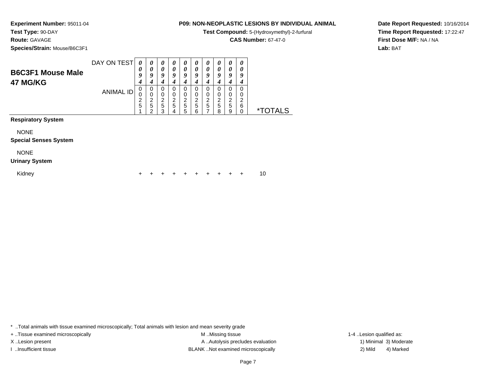**Test Compound:** 5-(Hydroxymethyl)-2-furfural

**CAS Number:** 67-47-0

**Date Report Requested:** 10/16/2014**Time Report Requested:** 17:22:47**First Dose M/F:** NA / NA**Lab:** BAT

**Experiment Number:** 95011-04**Test Type:** 90-DAY**Route:** GAVAGE**Species/Strain:** Mouse/B6C3F1

| <b>B6C3F1 Mouse Male</b><br>47 MG/KG | DAY ON TEST | $\boldsymbol{\mathit{U}}$<br>Q | $\boldsymbol{\theta}$<br>U | $\boldsymbol{\theta}$<br>$\boldsymbol{\theta}$<br>9 | $\boldsymbol{\theta}$<br>0<br>q | $\boldsymbol{\theta}$<br>0<br>Q<br>4 | $\boldsymbol{\theta}$<br>o | $\boldsymbol{\theta}$<br>0<br>Q | $\boldsymbol{\theta}$<br>Q | U<br>0<br>а      | Q                |             |
|--------------------------------------|-------------|--------------------------------|----------------------------|-----------------------------------------------------|---------------------------------|--------------------------------------|----------------------------|---------------------------------|----------------------------|------------------|------------------|-------------|
|                                      | ANIMAL ID   | 5                              | 0<br>υ<br>ີ<br>5<br>ີ      | 0<br>0<br>2<br>5<br>っ                               | 0<br>◠<br>5                     | 0<br>0<br>2<br>5<br>5                | 0<br>0<br>◠<br>5<br>⌒      | 0<br>0<br>ົ<br>5                | 0<br>0<br>◠<br>5<br>я      | 0<br>ົ<br>5<br>9 | 0<br>0<br>◠<br>6 | א ו∆∶<br>×. |

**Respiratory System**

NONE

#### **Special Senses System**

NONE

#### **Urinary System**

Kidney

 <sup>+</sup><sup>+</sup> <sup>+</sup> <sup>+</sup> <sup>+</sup> <sup>+</sup> <sup>+</sup> <sup>+</sup> <sup>+</sup> + 10

\* ..Total animals with tissue examined microscopically; Total animals with lesion and mean severity grade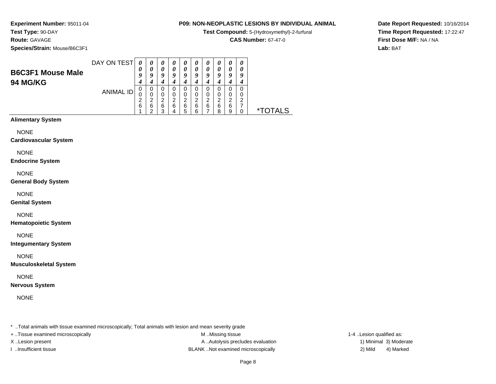**Test Compound:** 5-(Hydroxymethyl)-2-furfural

**CAS Number:** 67-47-0

**Date Report Requested:** 10/16/2014**Time Report Requested:** 17:22:47**First Dose M/F:** NA / NA**Lab:** BAT

**Experiment Number:** 95011-04**Test Type:** 90-DAY**Route:** GAVAGE**Species/Strain:** Mouse/B6C3F1

| <b>B6C3F1 Mouse Male</b><br><b>94 MG/KG</b> | DAY ON TEST | 0<br>O<br>g      | O                     | $\boldsymbol{\theta}$<br>0<br>9 | U<br>o      | $\theta$<br>0<br>9    | U      | $\boldsymbol{\theta}$<br>0<br>9<br>4 | U<br>0<br>ο | $\boldsymbol{\theta}$<br>0<br>9<br>4 | 0<br>o<br>4 |                   |
|---------------------------------------------|-------------|------------------|-----------------------|---------------------------------|-------------|-----------------------|--------|--------------------------------------|-------------|--------------------------------------|-------------|-------------------|
|                                             | ANIMAL ID   | 0<br>U<br>ົ<br>6 | O<br>0<br>◠<br>6<br>◠ | O<br>0<br>っ<br>6<br>ว           | 0<br>◠<br>6 | 0<br>0<br>2<br>6<br>5 | 6<br>6 | 0<br>2<br>6                          | ◠<br>6<br>я | 0<br>0<br>2<br>6<br>9                | 0<br>0<br>⌒ | TALS<br>$\star^-$ |

**Alimentary System**

NONE

**Cardiovascular System**

NONE

**Endocrine System**

NONE

**General Body System**

NONE

**Genital System**

NONE

**Hematopoietic System**

NONE

**Integumentary System**

NONE

**Musculoskeletal System**

NONE

**Nervous System**

NONE

\* ..Total animals with tissue examined microscopically; Total animals with lesion and mean severity grade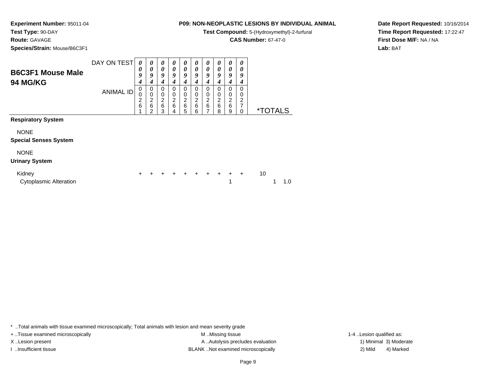**Test Compound:** 5-(Hydroxymethyl)-2-furfural

**CAS Number:** 67-47-0

**Species/Strain:** Mouse/B6C3F1

**Experiment Number:** 95011-04

**Test Type:** 90-DAY**Route:** GAVAGE

# **Respiratory System**

NONE

#### **Special Senses System**

NONE

#### **Urinary System**

| Kidney                 |  |  |  |  | + + + + + + + + + + |  |       |
|------------------------|--|--|--|--|---------------------|--|-------|
| Cytoplasmic Alteration |  |  |  |  |                     |  | 1 1.0 |

\* ..Total animals with tissue examined microscopically; Total animals with lesion and mean severity grade

+ ..Tissue examined microscopically examined microscopically examined as:  $M$  ..Missing tissue 1-4 ..Lesion qualified as: X..Lesion present **A ..Autolysis precludes evaluation** A ..Autolysis precludes evaluation 1) Minimal 3) Moderate I ..Insufficient tissue BLANK ..Not examined microscopically 2) Mild 4) Marked

Page 9

**Date Report Requested:** 10/16/2014**Time Report Requested:** 17:22:47**First Dose M/F:** NA / NA**Lab:** BAT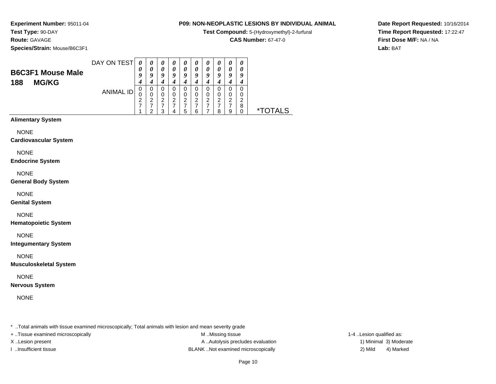**Test Compound:** 5-(Hydroxymethyl)-2-furfural

**CAS Number:** 67-47-0

**Date Report Requested:** 10/16/2014**Time Report Requested:** 17:22:47**First Dose M/F:** NA / NA**Lab:** BAT

**Experiment Number:** 95011-04**Test Type:** 90-DAY**Route:** GAVAGE**Species/Strain:** Mouse/B6C3F1

| <b>B6C3F1 Mouse Male</b><br><b>MG/KG</b><br>188 | DAY ON TEST | 0<br>9      | $\boldsymbol{\theta}$<br>o | U<br>0<br>o | U<br>υ | $\boldsymbol{\theta}$<br>0<br>9 | U<br>у      | U<br>$\theta$<br>9 | $\boldsymbol{\mathit{u}}$<br>q | 0<br>0<br>Q           | 0<br>0<br>q      |             |
|-------------------------------------------------|-------------|-------------|----------------------------|-------------|--------|---------------------------------|-------------|--------------------|--------------------------------|-----------------------|------------------|-------------|
|                                                 | ANIMAL ID   | υ<br>U<br>2 | 0<br>0<br>ົ<br>◠           | 0<br>ົ      |        | 0<br>0<br>2<br>5                | 0<br>റ<br>ี | 0<br>0<br>2        | O<br>◠<br>ິດ                   | 0<br>0<br>ົ<br>⇁<br>я | 0<br>0<br>◠<br>8 | TAI S<br>∗⊤ |

### **Alimentary System**

NONE

**Cardiovascular System**

NONE

**Endocrine System**

NONE

**General Body System**

NONE

**Genital System**

# NONE

**Hematopoietic System**

NONE

**Integumentary System**

NONE

**Musculoskeletal System**

NONE

**Nervous System**

NONE

\* ..Total animals with tissue examined microscopically; Total animals with lesion and mean severity grade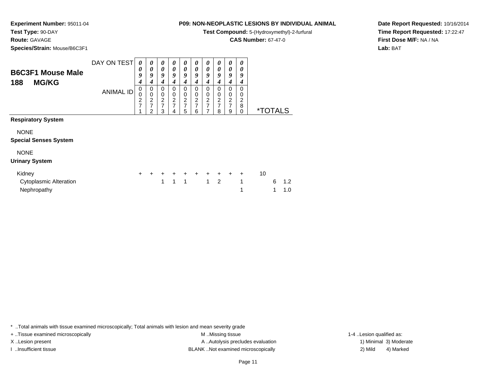**Test Compound:** 5-(Hydroxymethyl)-2-furfural

**CAS Number:** 67-47-0

**Date Report Requested:** 10/16/2014**Time Report Requested:** 17:22:47**First Dose M/F:** NA / NA**Lab:** BAT

**Experiment Number:** 95011-04**Test Type:** 90-DAY**Route:** GAVAGE**Species/Strain:** Mouse/B6C3F1

| <b>B6C3F1 Mouse Male</b><br><b>MG/KG</b><br>188 | DAY ON TEST<br><b>ANIMAL ID</b> | 0<br>0<br>9<br>4<br>0<br>$\mathbf 0$<br>$\frac{2}{7}$ | 0<br>0<br>9<br>4<br>0<br>$\pmb{0}$<br>$\overline{c}$<br>$\overline{7}$<br>2 | 0<br>0<br>9<br>4<br>0<br>$\boldsymbol{0}$<br>$\frac{2}{7}$<br>3 | 0<br>0<br>9<br>4<br>0<br>$\begin{array}{c} 0 \\ 2 \\ 7 \end{array}$<br>4 | 0<br>0<br>9<br>4<br>0<br>$\pmb{0}$<br>$\frac{2}{7}$<br>5 | $\boldsymbol{\theta}$<br>$\boldsymbol{\theta}$<br>9<br>4<br>0<br>$\boldsymbol{0}$<br>$\frac{2}{7}$<br>6 | $\boldsymbol{\theta}$<br>$\boldsymbol{\theta}$<br>9<br>4<br>0<br>$\mathbf 0$<br>$\frac{2}{7}$<br>7 | 0<br>0<br>9<br>4<br>0<br>$\mathbf 0$<br>$\frac{2}{7}$<br>8 | 0<br>0<br>9<br>4<br>0<br>0<br>$\frac{2}{7}$<br>9 | 0<br>0<br>9<br>4<br>0<br>0<br>$\frac{2}{8}$<br>$\mathbf 0$ | <i><b>*TOTALS</b></i> |
|-------------------------------------------------|---------------------------------|-------------------------------------------------------|-----------------------------------------------------------------------------|-----------------------------------------------------------------|--------------------------------------------------------------------------|----------------------------------------------------------|---------------------------------------------------------------------------------------------------------|----------------------------------------------------------------------------------------------------|------------------------------------------------------------|--------------------------------------------------|------------------------------------------------------------|-----------------------|
| <b>Respiratory System</b>                       |                                 |                                                       |                                                                             |                                                                 |                                                                          |                                                          |                                                                                                         |                                                                                                    |                                                            |                                                  |                                                            |                       |
| <b>NONE</b>                                     |                                 |                                                       |                                                                             |                                                                 |                                                                          |                                                          |                                                                                                         |                                                                                                    |                                                            |                                                  |                                                            |                       |
| <b>Special Senses System</b>                    |                                 |                                                       |                                                                             |                                                                 |                                                                          |                                                          |                                                                                                         |                                                                                                    |                                                            |                                                  |                                                            |                       |
| <b>NONE</b>                                     |                                 |                                                       |                                                                             |                                                                 |                                                                          |                                                          |                                                                                                         |                                                                                                    |                                                            |                                                  |                                                            |                       |
| <b>Urinary System</b>                           |                                 |                                                       |                                                                             |                                                                 |                                                                          |                                                          |                                                                                                         |                                                                                                    |                                                            |                                                  |                                                            |                       |
| Kidney                                          |                                 | $+$                                                   |                                                                             | $+$                                                             | $+$                                                                      | $+$                                                      |                                                                                                         | $+$ $+$                                                                                            | $+$                                                        | $+$                                              | $\ddot{}$                                                  | 10                    |
| <b>Cytoplasmic Alteration</b><br>Nephropathy    |                                 |                                                       |                                                                             | 1                                                               | 1                                                                        | $\mathbf 1$                                              |                                                                                                         | $\mathbf{1}$                                                                                       | $\overline{2}$                                             |                                                  | $\mathbf{1}$<br>1                                          | 6<br>1.2<br>1.0<br>1  |

\* ..Total animals with tissue examined microscopically; Total animals with lesion and mean severity grade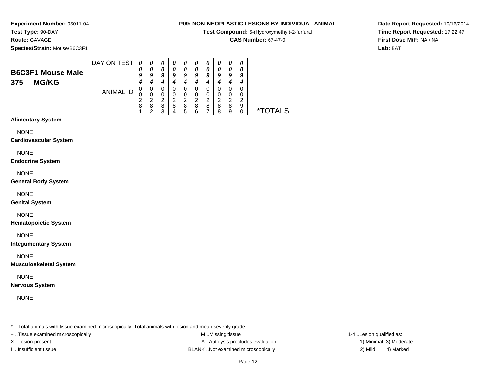**Test Compound:** 5-(Hydroxymethyl)-2-furfural

**CAS Number:** 67-47-0

**Date Report Requested:** 10/16/2014**Time Report Requested:** 17:22:47**First Dose M/F:** NA / NA**Lab:** BAT

**Experiment Number:** 95011-04**Test Type:** 90-DAY**Route:** GAVAGE**Species/Strain:** Mouse/B6C3F1

| <b>B6C3F1 Mouse Male</b><br><b>MG/KG</b><br>375 | DAY ON TEST | 0<br>0<br>9      | $\theta$<br>0<br>$\boldsymbol{0}$ | U<br>0<br>Q | U<br>о | $\boldsymbol{\theta}$<br>0<br>9 | U<br>$\boldsymbol{\theta}$<br>ч | $\boldsymbol{\theta}$<br>0<br>Q | U<br>O<br>q      | 0<br>0<br>Q           | 0<br>0<br>q      |               |
|-------------------------------------------------|-------------|------------------|-----------------------------------|-------------|--------|---------------------------------|---------------------------------|---------------------------------|------------------|-----------------------|------------------|---------------|
|                                                 | ANIMAL ID   | υ<br>U<br>2<br>8 | 0<br>0<br>◠<br>8<br>◠             | າ<br>8<br>◠ | 8      | 0<br>2<br>8<br>5                | 0<br>റ<br>8<br>ี                | 0<br>0<br>2<br>8                | O<br>◠<br>8<br>o | 0<br>0<br>っ<br>8<br>g | 0<br>0<br>◠<br>9 | FOTAL S<br>∗⊤ |

## **Alimentary System**

NONE

**Cardiovascular System**

NONE

**Endocrine System**

NONE

**General Body System**

NONE

**Genital System**

# NONE

**Hematopoietic System**

NONE

**Integumentary System**

NONE

**Musculoskeletal System**

NONE

**Nervous System**

NONE

\* ..Total animals with tissue examined microscopically; Total animals with lesion and mean severity grade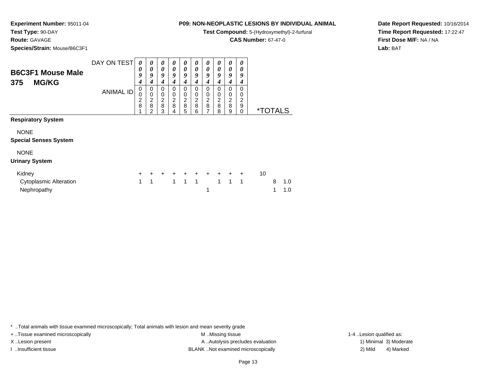**Test Compound:** 5-(Hydroxymethyl)-2-furfural

**CAS Number:** 67-47-0

**Date Report Requested:** 10/16/2014**Time Report Requested:** 17:22:47**First Dose M/F:** NA / NA**Lab:** BAT

**Experiment Number:** 95011-04**Test Type:** 90-DAY**Route:** GAVAGE**Species/Strain:** Mouse/B6C3F1

| <b>B6C3F1 Mouse Male</b><br><b>MG/KG</b><br>375 | DAY ON TEST      | 0<br>0<br>9<br>4        | $\boldsymbol{\theta}$<br>0<br>9<br>$\boldsymbol{4}$                           | 0<br>0<br>9<br>4                                     | $\boldsymbol{\theta}$<br>$\boldsymbol{\theta}$<br>9<br>4 | $\boldsymbol{\theta}$<br>$\boldsymbol{\theta}$<br>9<br>4 | $\boldsymbol{\theta}$<br>$\boldsymbol{\theta}$<br>9<br>4 | 0<br>0<br>9<br>4                   | 0<br>0<br>9<br>4             | 0<br>0<br>9<br>4             | 0<br>0<br>9<br>4                               |    |                       |     |  |
|-------------------------------------------------|------------------|-------------------------|-------------------------------------------------------------------------------|------------------------------------------------------|----------------------------------------------------------|----------------------------------------------------------|----------------------------------------------------------|------------------------------------|------------------------------|------------------------------|------------------------------------------------|----|-----------------------|-----|--|
|                                                 | <b>ANIMAL ID</b> | 0<br>0<br>$\frac{2}{8}$ | $\begin{smallmatrix}0\\0\end{smallmatrix}$<br>$\frac{2}{8}$<br>$\overline{2}$ | 0<br>$\begin{array}{c} 0 \\ 2 \\ 8 \end{array}$<br>3 | 0<br>$\pmb{0}$<br>$\frac{2}{8}$<br>4                     | 0<br>$\pmb{0}$<br>$\frac{2}{8}$<br>5                     | 0<br>$\pmb{0}$<br>$\frac{2}{8}$<br>6                     | 0<br>0<br>$\overline{c}$<br>8<br>7 | 0<br>0<br>$\frac{2}{8}$<br>8 | 0<br>0<br>$\frac{2}{8}$<br>9 | 0<br>0<br>$\boldsymbol{2}$<br>9<br>$\mathbf 0$ |    | <i><b>*TOTALS</b></i> |     |  |
| <b>Respiratory System</b>                       |                  |                         |                                                                               |                                                      |                                                          |                                                          |                                                          |                                    |                              |                              |                                                |    |                       |     |  |
| <b>NONE</b>                                     |                  |                         |                                                                               |                                                      |                                                          |                                                          |                                                          |                                    |                              |                              |                                                |    |                       |     |  |
| <b>Special Senses System</b>                    |                  |                         |                                                                               |                                                      |                                                          |                                                          |                                                          |                                    |                              |                              |                                                |    |                       |     |  |
| <b>NONE</b>                                     |                  |                         |                                                                               |                                                      |                                                          |                                                          |                                                          |                                    |                              |                              |                                                |    |                       |     |  |
| <b>Urinary System</b>                           |                  |                         |                                                                               |                                                      |                                                          |                                                          |                                                          |                                    |                              |                              |                                                |    |                       |     |  |
| Kidney                                          |                  | $+$                     |                                                                               | $+$                                                  | $+$                                                      | $+$                                                      | $+$                                                      | $+$                                | $\pm$                        | $+$                          | $+$                                            | 10 |                       |     |  |
| <b>Cytoplasmic Alteration</b>                   |                  | 1                       | 1                                                                             |                                                      | 1                                                        | 1                                                        | $\mathbf{1}$                                             |                                    | 1                            | 1                            | $\overline{1}$                                 |    | 8                     | 1.0 |  |
| Nephropathy                                     |                  |                         |                                                                               |                                                      |                                                          |                                                          |                                                          | 1                                  |                              |                              |                                                |    | 1                     | 1.0 |  |

\* ..Total animals with tissue examined microscopically; Total animals with lesion and mean severity grade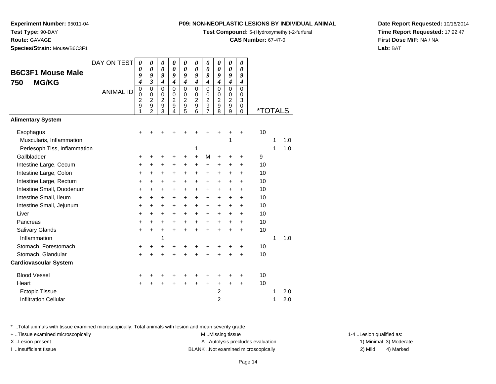**Test Compound:** 5-(Hydroxymethyl)-2-furfural

**CAS Number:** 67-47-0

**Date Report Requested:** 10/16/2014**Time Report Requested:** 17:22:47**First Dose M/F:** NA / NA**Lab:** BAT

**Species/Strain:** Mouse/B6C3F1

| <b><u>coroo, ou anne modoo, booor</u></b>                             |                  |                                                                                                   |                                                                                 |                                                                                   |                                                                            |                                                                                                        |                                                                  |                                                                                                        |                                                               |                                                                                           |                                                                    |                       |        |            |
|-----------------------------------------------------------------------|------------------|---------------------------------------------------------------------------------------------------|---------------------------------------------------------------------------------|-----------------------------------------------------------------------------------|----------------------------------------------------------------------------|--------------------------------------------------------------------------------------------------------|------------------------------------------------------------------|--------------------------------------------------------------------------------------------------------|---------------------------------------------------------------|-------------------------------------------------------------------------------------------|--------------------------------------------------------------------|-----------------------|--------|------------|
| <b>B6C3F1 Mouse Male</b>                                              | DAY ON TEST      | 0<br>$\boldsymbol{\theta}$<br>9                                                                   | 0<br>0<br>9                                                                     | 0<br>0<br>9                                                                       | 0<br>0<br>9                                                                | 0<br>0<br>9                                                                                            | 0<br>0<br>9                                                      | 0<br>$\boldsymbol{\theta}$<br>9                                                                        | 0<br>$\boldsymbol{\theta}$<br>9                               | $\boldsymbol{\theta}$<br>0<br>9                                                           | $\boldsymbol{\theta}$<br>0<br>9                                    |                       |        |            |
| <b>MG/KG</b><br>750                                                   | <b>ANIMAL ID</b> | $\boldsymbol{4}$<br>$\mbox{O}$<br>$\mathbf 0$<br>$\overline{\mathbf{c}}$<br>$\boldsymbol{9}$<br>1 | $\mathfrak{z}$<br>$\mathsf 0$<br>$\mathbf 0$<br>$\overline{2}$<br>$\frac{9}{2}$ | $\boldsymbol{4}$<br>$\mathsf 0$<br>$\mathbf 0$<br>$\overline{2}$<br>$\frac{9}{3}$ | $\boldsymbol{4}$<br>$\mathbf 0$<br>$\mathbf 0$<br>$\overline{c}$<br>9<br>4 | $\boldsymbol{4}$<br>$\mathbf 0$<br>$\mathbf 0$<br>$\overline{2}$<br>$\boldsymbol{9}$<br>$\overline{5}$ | $\boldsymbol{4}$<br>$\mathbf 0$<br>0<br>$\overline{c}$<br>9<br>6 | $\boldsymbol{4}$<br>$\mathbf 0$<br>$\mathbf 0$<br>$\overline{c}$<br>$\boldsymbol{9}$<br>$\overline{7}$ | $\boldsymbol{4}$<br>$\Omega$<br>0<br>$\overline{2}$<br>9<br>8 | $\boldsymbol{4}$<br>$\mathbf 0$<br>$\mathbf 0$<br>$\overline{2}$<br>$\boldsymbol{9}$<br>9 | $\boldsymbol{4}$<br>$\mathbf 0$<br>0<br>3<br>$\pmb{0}$<br>$\Omega$ | <i><b>*TOTALS</b></i> |        |            |
| <b>Alimentary System</b>                                              |                  |                                                                                                   |                                                                                 |                                                                                   |                                                                            |                                                                                                        |                                                                  |                                                                                                        |                                                               |                                                                                           |                                                                    |                       |        |            |
| Esophagus<br>Muscularis, Inflammation<br>Periesoph Tiss, Inflammation |                  | +                                                                                                 |                                                                                 |                                                                                   |                                                                            |                                                                                                        | 1                                                                | ┿                                                                                                      |                                                               | 1                                                                                         | $\div$                                                             | 10                    | 1<br>1 | 1.0<br>1.0 |
| Gallbladder                                                           |                  | +                                                                                                 | +                                                                               | +                                                                                 | +                                                                          | +                                                                                                      | +                                                                | M                                                                                                      | +                                                             |                                                                                           | +                                                                  | 9                     |        |            |
| Intestine Large, Cecum                                                |                  | $\ddot{}$                                                                                         | +                                                                               | +                                                                                 | +                                                                          | $\pm$                                                                                                  | +                                                                | +                                                                                                      | +                                                             | +                                                                                         | $\ddot{}$                                                          | 10                    |        |            |
| Intestine Large, Colon                                                |                  | $\ddot{}$                                                                                         | +                                                                               | $\ddot{}$                                                                         | +                                                                          | $\ddot{}$                                                                                              | $\ddot{}$                                                        | $\ddot{}$                                                                                              | $\ddot{}$                                                     | $\ddot{}$                                                                                 | $\ddot{}$                                                          | 10                    |        |            |
| Intestine Large, Rectum                                               |                  | $\pm$                                                                                             | $\pm$                                                                           | $\pm$                                                                             | $\pm$                                                                      | $\pm$                                                                                                  | +                                                                | $\ddot{}$                                                                                              | +                                                             | $\ddot{}$                                                                                 | +                                                                  | 10                    |        |            |
| Intestine Small, Duodenum                                             |                  | $\ddot{}$                                                                                         | $\ddot{}$                                                                       | $\ddot{}$                                                                         | $\ddot{}$                                                                  | +                                                                                                      | $\ddot{}$                                                        | $\ddot{}$                                                                                              | $\ddot{}$                                                     | $\ddot{}$                                                                                 | $\ddot{}$                                                          | 10                    |        |            |
| Intestine Small, Ileum                                                |                  | $\ddot{}$                                                                                         | $\pm$                                                                           | $\ddot{}$                                                                         | +                                                                          | +                                                                                                      | +                                                                | +                                                                                                      | +                                                             | $\ddot{}$                                                                                 | $\ddot{}$                                                          | 10                    |        |            |
| Intestine Small, Jejunum                                              |                  | $\ddot{}$                                                                                         | +                                                                               | $\pm$                                                                             | +                                                                          | $\ddot{}$                                                                                              | $\ddot{}$                                                        | $\ddot{}$                                                                                              | $\ddot{}$                                                     | $\ddot{}$                                                                                 | $\ddot{}$                                                          | 10                    |        |            |
| Liver                                                                 |                  | $\ddot{}$                                                                                         | $\ddot{}$                                                                       | $\ddot{}$                                                                         | $\ddot{}$                                                                  | +                                                                                                      | $\ddot{}$                                                        | $\ddot{}$                                                                                              | $\ddot{}$                                                     | $\ddot{}$                                                                                 | $\ddot{}$                                                          | 10                    |        |            |
| Pancreas                                                              |                  | $\ddot{}$                                                                                         | $\ddot{}$                                                                       | $\pm$                                                                             | $\ddot{}$                                                                  | $\ddot{}$                                                                                              | $\ddot{}$                                                        | $\ddot{}$                                                                                              | $\ddot{}$                                                     | $\ddot{}$                                                                                 | $\ddot{}$                                                          | 10                    |        |            |
| Salivary Glands                                                       |                  | $\ddot{}$                                                                                         | $\ddot{}$                                                                       | $\ddot{}$                                                                         | $\ddot{}$                                                                  | $\ddot{}$                                                                                              | $\ddot{}$                                                        | $\ddot{}$                                                                                              | $\ddot{}$                                                     | $+$                                                                                       | $\ddot{}$                                                          | 10                    |        |            |
| Inflammation                                                          |                  |                                                                                                   |                                                                                 | 1                                                                                 |                                                                            |                                                                                                        |                                                                  |                                                                                                        |                                                               |                                                                                           |                                                                    |                       | 1      | 1.0        |
| Stomach, Forestomach                                                  |                  | $\ddot{}$                                                                                         | +                                                                               | +                                                                                 | ٠                                                                          | +                                                                                                      | +                                                                | ٠                                                                                                      |                                                               |                                                                                           | +                                                                  | 10                    |        |            |
| Stomach, Glandular                                                    |                  | +                                                                                                 |                                                                                 | $\ddot{}$                                                                         | +                                                                          | +                                                                                                      |                                                                  |                                                                                                        |                                                               |                                                                                           | $\ddot{}$                                                          | 10                    |        |            |
| <b>Cardiovascular System</b>                                          |                  |                                                                                                   |                                                                                 |                                                                                   |                                                                            |                                                                                                        |                                                                  |                                                                                                        |                                                               |                                                                                           |                                                                    |                       |        |            |
| <b>Blood Vessel</b>                                                   |                  | +                                                                                                 | +                                                                               | +                                                                                 | +                                                                          | +                                                                                                      | +                                                                | +                                                                                                      | +                                                             | +                                                                                         | +                                                                  | 10                    |        |            |
| Heart                                                                 |                  | $\ddot{}$                                                                                         | +                                                                               | $\pm$                                                                             | +                                                                          | $\pm$                                                                                                  | +                                                                | +                                                                                                      | +                                                             | $\ddot{}$                                                                                 | $\ddot{}$                                                          | 10                    |        |            |
| <b>Ectopic Tissue</b>                                                 |                  |                                                                                                   |                                                                                 |                                                                                   |                                                                            |                                                                                                        |                                                                  |                                                                                                        | $\overline{c}$                                                |                                                                                           |                                                                    |                       | 1      | 2.0        |
| <b>Infiltration Cellular</b>                                          |                  |                                                                                                   |                                                                                 |                                                                                   |                                                                            |                                                                                                        |                                                                  |                                                                                                        | $\overline{2}$                                                |                                                                                           |                                                                    |                       | 1      | 2.0        |
|                                                                       |                  |                                                                                                   |                                                                                 |                                                                                   |                                                                            |                                                                                                        |                                                                  |                                                                                                        |                                                               |                                                                                           |                                                                    |                       |        |            |

\* ..Total animals with tissue examined microscopically; Total animals with lesion and mean severity grade

+ ..Tissue examined microscopically examined microscopically examined as:  $M$  ..Missing tissue 1-4 ..Lesion qualified as:

X..Lesion present **A ..Autolysis precludes evaluation** A ..Autolysis precludes evaluation 1) Minimal 3) Moderate I ..Insufficient tissue BLANK ..Not examined microscopically 2) Mild 4) Marked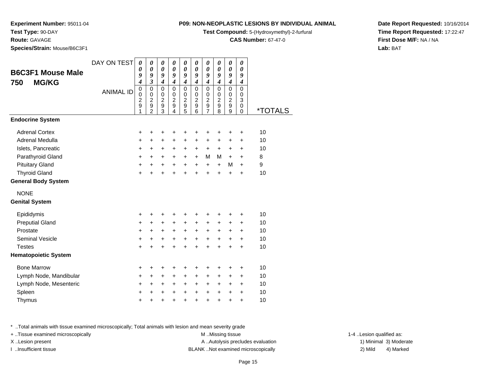**Test Compound:** 5-(Hydroxymethyl)-2-furfural

**CAS Number:** 67-47-0

**Date Report Requested:** 10/16/2014**Time Report Requested:** 17:22:47**First Dose M/F:** NA / NA**Lab:** BAT

**Experiment Number:** 95011-04**Test Type:** 90-DAY**Route:** GAVAGE**Species/Strain:** Mouse/B6C3F1

| <b>B6C3F1 Mouse Male</b><br><b>MG/KG</b><br>750 | DAY ON TEST<br><b>ANIMAL ID</b> | $\boldsymbol{\theta}$<br>$\boldsymbol{\theta}$<br>9<br>4<br>$\pmb{0}$<br>$\mathbf 0$<br>$\overline{c}$<br>9<br>1 | $\boldsymbol{\theta}$<br>$\boldsymbol{\theta}$<br>9<br>$\mathfrak{z}$<br>$\mathbf 0$<br>$\mathbf 0$<br>$\frac{2}{9}$<br>$\overline{2}$ | 0<br>$\boldsymbol{\theta}$<br>9<br>$\boldsymbol{4}$<br>$\mathbf 0$<br>$\pmb{0}$<br>$\frac{2}{9}$<br>3 | 0<br>$\boldsymbol{\theta}$<br>9<br>$\boldsymbol{4}$<br>$\mathbf 0$<br>$\mathbf 0$<br>$\overline{2}$<br>$\overline{9}$<br>4 | 0<br>$\pmb{\theta}$<br>9<br>$\boldsymbol{4}$<br>$\mathbf 0$<br>0<br>$\boldsymbol{2}$<br>$\overline{9}$<br>5 | 0<br>$\pmb{\theta}$<br>9<br>$\boldsymbol{4}$<br>$\mathbf 0$<br>$\pmb{0}$<br>$\overline{2}$<br>$\mathbf 9$<br>6 | 0<br>$\boldsymbol{\theta}$<br>9<br>$\boldsymbol{4}$<br>$\pmb{0}$<br>$\mathbf 0$<br>$\overline{2}$<br>$\boldsymbol{9}$<br>$\overline{7}$ | 0<br>$\boldsymbol{\theta}$<br>9<br>$\boldsymbol{4}$<br>$\mathbf 0$<br>$\mathbf 0$<br>$\overline{2}$<br>$\boldsymbol{9}$<br>8 | 0<br>$\pmb{\theta}$<br>9<br>$\boldsymbol{4}$<br>0<br>$\mathbf 0$<br>$\overline{2}$<br>$\boldsymbol{9}$<br>9 | 0<br>$\boldsymbol{\theta}$<br>9<br>$\boldsymbol{4}$<br>$\mathbf 0$<br>$\Omega$<br>3<br>0<br>0 | <i><b>*TOTALS</b></i> |
|-------------------------------------------------|---------------------------------|------------------------------------------------------------------------------------------------------------------|----------------------------------------------------------------------------------------------------------------------------------------|-------------------------------------------------------------------------------------------------------|----------------------------------------------------------------------------------------------------------------------------|-------------------------------------------------------------------------------------------------------------|----------------------------------------------------------------------------------------------------------------|-----------------------------------------------------------------------------------------------------------------------------------------|------------------------------------------------------------------------------------------------------------------------------|-------------------------------------------------------------------------------------------------------------|-----------------------------------------------------------------------------------------------|-----------------------|
| <b>Endocrine System</b>                         |                                 |                                                                                                                  |                                                                                                                                        |                                                                                                       |                                                                                                                            |                                                                                                             |                                                                                                                |                                                                                                                                         |                                                                                                                              |                                                                                                             |                                                                                               |                       |
| <b>Adrenal Cortex</b>                           |                                 | +                                                                                                                | +                                                                                                                                      | +                                                                                                     | +                                                                                                                          | +                                                                                                           | +                                                                                                              | +                                                                                                                                       | +                                                                                                                            | +                                                                                                           | +                                                                                             | 10                    |
| Adrenal Medulla                                 |                                 | +                                                                                                                | +                                                                                                                                      | +                                                                                                     | +                                                                                                                          | +                                                                                                           | +                                                                                                              | +                                                                                                                                       | +                                                                                                                            | +                                                                                                           | +                                                                                             | 10                    |
| Islets, Pancreatic                              |                                 | $\ddot{}$                                                                                                        | $\ddot{}$                                                                                                                              | $\ddot{}$                                                                                             | $\ddot{}$                                                                                                                  | $\ddot{}$                                                                                                   | $\ddot{}$                                                                                                      | $\ddot{}$                                                                                                                               | $\ddot{}$                                                                                                                    | $\ddot{}$                                                                                                   | $\ddot{}$                                                                                     | 10                    |
| Parathyroid Gland                               |                                 | $\ddot{}$                                                                                                        | $\ddot{}$                                                                                                                              | $\ddot{}$                                                                                             | $\ddot{}$                                                                                                                  | $\ddot{}$                                                                                                   | $+$                                                                                                            | M                                                                                                                                       | M                                                                                                                            | $+$                                                                                                         | $\ddot{}$                                                                                     | 8                     |
| <b>Pituitary Gland</b>                          |                                 | +                                                                                                                | $\ddot{}$                                                                                                                              | $\ddot{}$                                                                                             | $\ddot{}$                                                                                                                  | $\ddot{}$                                                                                                   | $\ddot{}$                                                                                                      | $\ddot{}$                                                                                                                               | $\ddot{}$                                                                                                                    | M                                                                                                           | $\ddot{}$                                                                                     | 9                     |
| <b>Thyroid Gland</b>                            |                                 | $\ddot{}$                                                                                                        | $\ddot{}$                                                                                                                              | $\ddot{}$                                                                                             | $\ddot{}$                                                                                                                  | $\ddot{}$                                                                                                   | $\ddot{}$                                                                                                      | $\ddot{}$                                                                                                                               | $\ddot{}$                                                                                                                    | $\ddot{}$                                                                                                   | $\ddot{}$                                                                                     | 10                    |
| <b>General Body System</b>                      |                                 |                                                                                                                  |                                                                                                                                        |                                                                                                       |                                                                                                                            |                                                                                                             |                                                                                                                |                                                                                                                                         |                                                                                                                              |                                                                                                             |                                                                                               |                       |
| <b>NONE</b>                                     |                                 |                                                                                                                  |                                                                                                                                        |                                                                                                       |                                                                                                                            |                                                                                                             |                                                                                                                |                                                                                                                                         |                                                                                                                              |                                                                                                             |                                                                                               |                       |
| <b>Genital System</b>                           |                                 |                                                                                                                  |                                                                                                                                        |                                                                                                       |                                                                                                                            |                                                                                                             |                                                                                                                |                                                                                                                                         |                                                                                                                              |                                                                                                             |                                                                                               |                       |
| Epididymis                                      |                                 | +                                                                                                                | +                                                                                                                                      | +                                                                                                     | +                                                                                                                          | +                                                                                                           | +                                                                                                              | +                                                                                                                                       | +                                                                                                                            | +                                                                                                           | +                                                                                             | 10                    |
| <b>Preputial Gland</b>                          |                                 | +                                                                                                                | +                                                                                                                                      | $\boldsymbol{+}$                                                                                      | $\ddot{}$                                                                                                                  | $\ddot{}$                                                                                                   | $\ddot{}$                                                                                                      | +                                                                                                                                       | +                                                                                                                            | +                                                                                                           | $\ddot{}$                                                                                     | 10                    |
| Prostate                                        |                                 | $\ddot{}$                                                                                                        | $\ddot{}$                                                                                                                              | $\ddot{}$                                                                                             | $\ddot{}$                                                                                                                  | $\ddot{}$                                                                                                   | $\ddot{}$                                                                                                      | $\ddot{}$                                                                                                                               | $\ddot{}$                                                                                                                    | $\ddot{}$                                                                                                   | +                                                                                             | 10                    |
| <b>Seminal Vesicle</b>                          |                                 | $\ddot{}$                                                                                                        | $\ddot{}$                                                                                                                              | $\ddot{}$                                                                                             | $\ddot{}$                                                                                                                  | $+$                                                                                                         | $\ddot{}$                                                                                                      | $\ddot{}$                                                                                                                               | $\ddot{}$                                                                                                                    | $\ddot{}$                                                                                                   | $\ddot{}$                                                                                     | 10                    |
| <b>Testes</b>                                   |                                 | $\ddot{}$                                                                                                        | $\ddot{}$                                                                                                                              | $\ddot{}$                                                                                             | $\ddot{}$                                                                                                                  | $\ddot{}$                                                                                                   | $\ddot{}$                                                                                                      | $\ddot{}$                                                                                                                               | $\ddot{}$                                                                                                                    | $\ddot{}$                                                                                                   | +                                                                                             | 10                    |
| <b>Hematopoietic System</b>                     |                                 |                                                                                                                  |                                                                                                                                        |                                                                                                       |                                                                                                                            |                                                                                                             |                                                                                                                |                                                                                                                                         |                                                                                                                              |                                                                                                             |                                                                                               |                       |
| <b>Bone Marrow</b>                              |                                 | +                                                                                                                | +                                                                                                                                      | +                                                                                                     | +                                                                                                                          | +                                                                                                           | +                                                                                                              | +                                                                                                                                       | +                                                                                                                            | +                                                                                                           | +                                                                                             | 10                    |
| Lymph Node, Mandibular                          |                                 | $\ddot{}$                                                                                                        | $\ddot{}$                                                                                                                              | $\ddot{}$                                                                                             | +                                                                                                                          | $\ddot{}$                                                                                                   | +                                                                                                              | +                                                                                                                                       | +                                                                                                                            | +                                                                                                           | $\ddot{}$                                                                                     | 10                    |
| Lymph Node, Mesenteric                          |                                 | +                                                                                                                | +                                                                                                                                      | +                                                                                                     | +                                                                                                                          | +                                                                                                           | +                                                                                                              | +                                                                                                                                       | +                                                                                                                            | +                                                                                                           | +                                                                                             | 10                    |
| Spleen                                          |                                 | $\ddot{}$                                                                                                        | $\ddot{}$                                                                                                                              | +                                                                                                     | $\ddot{}$                                                                                                                  | $\ddot{}$                                                                                                   | $\ddot{}$                                                                                                      | +                                                                                                                                       | $\ddot{}$                                                                                                                    | +                                                                                                           | $\ddot{}$                                                                                     | 10                    |
| Thymus                                          |                                 | $\ddot{}$                                                                                                        | $\ddot{}$                                                                                                                              | $\ddot{}$                                                                                             | $\ddot{}$                                                                                                                  | $\ddot{}$                                                                                                   | $\ddot{}$                                                                                                      | $\ddot{}$                                                                                                                               | $\ddot{}$                                                                                                                    | $\ddot{}$                                                                                                   | $\ddot{}$                                                                                     | 10                    |

\* ..Total animals with tissue examined microscopically; Total animals with lesion and mean severity grade

+ ..Tissue examined microscopically M ...Missing tissue 1-4 ... M ...Missing tissue

X..Lesion present **A ..Autolysis precludes evaluation** A ..Autolysis precludes evaluation 1) Minimal 3) Moderate I ..Insufficient tissue BLANK ..Not examined microscopically 2) Mild 4) Marked

1-4 ..Lesion qualified as: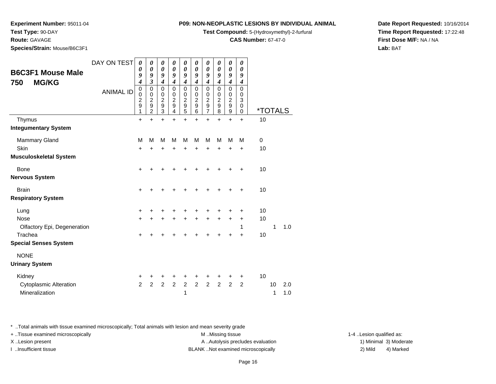**Test Compound:** 5-(Hydroxymethyl)-2-furfural

**CAS Number:** 67-47-0

**Date Report Requested:** 10/16/2014**Time Report Requested:** 17:22:48**First Dose M/F:** NA / NA**Lab:** BAT

**Route:** GAVAGE**Species/Strain:** Mouse/B6C3F1

**Test Type:** 90-DAY

**Experiment Number:** 95011-04

| <b>B6C3F1 Mouse Male</b><br><b>MG/KG</b><br>750                                        | DAY ON TEST<br><b>ANIMAL ID</b> | 0<br>0<br>9<br>$\overline{\boldsymbol{4}}$<br>0 | 0<br>$\boldsymbol{\theta}$<br>9<br>$\overline{3}$<br>$\pmb{0}$ | 0<br>$\pmb{\theta}$<br>9<br>$\overline{\boldsymbol{4}}$<br>$\pmb{0}$ | 0<br>$\boldsymbol{\theta}$<br>9<br>$\overline{\boldsymbol{4}}$<br>0 | 0<br>$\boldsymbol{\theta}$<br>9<br>$\overline{\boldsymbol{4}}$<br>$\mathsf 0$ | 0<br>$\boldsymbol{\theta}$<br>9<br>$\overline{\boldsymbol{4}}$<br>0 | 0<br>$\boldsymbol{\theta}$<br>9<br>$\overline{\boldsymbol{4}}$<br>0 | 0<br>$\boldsymbol{\theta}$<br>9<br>$\overline{\boldsymbol{4}}$<br>$\mathbf 0$ | 0<br>$\boldsymbol{\theta}$<br>9<br>$\boldsymbol{4}$<br>$\pmb{0}$ | 0<br>$\boldsymbol{\theta}$<br>9<br>$\boldsymbol{4}$<br>$\pmb{0}$ |                       |         |            |
|----------------------------------------------------------------------------------------|---------------------------------|-------------------------------------------------|----------------------------------------------------------------|----------------------------------------------------------------------|---------------------------------------------------------------------|-------------------------------------------------------------------------------|---------------------------------------------------------------------|---------------------------------------------------------------------|-------------------------------------------------------------------------------|------------------------------------------------------------------|------------------------------------------------------------------|-----------------------|---------|------------|
|                                                                                        |                                 | $\overline{0}$<br>$\frac{2}{9}$<br>1            | $\pmb{0}$<br>$\boldsymbol{2}$<br>9<br>$\overline{2}$           | $\mathbf 0$<br>$\frac{2}{9}$<br>$\overline{3}$                       | $\mathbf 0$<br>$\boldsymbol{2}$<br>$\overline{9}$<br>4              | 0<br>$\frac{2}{9}$<br>5                                                       | $\mathbf 0$<br>$\overline{c}$<br>9<br>6                             | 0<br>$\overline{c}$<br>9<br>7                                       | $\mathbf 0$<br>$\overline{c}$<br>9<br>8                                       | 0<br>$\overline{2}$<br>$\overline{9}$<br>9                       | 0<br>3<br>$\mathbf 0$<br>$\mathbf 0$                             | <i><b>*TOTALS</b></i> |         |            |
| Thymus<br><b>Integumentary System</b>                                                  |                                 | $\ddot{}$                                       | $\ddot{}$                                                      | $\ddot{}$                                                            | $\ddot{}$                                                           | $\ddot{}$                                                                     | $\ddot{}$                                                           | $\ddot{}$                                                           | $\ddot{}$                                                                     | $\ddot{}$                                                        | $\ddot{}$                                                        | 10                    |         |            |
| Mammary Gland<br>Skin<br><b>Musculoskeletal System</b>                                 |                                 | M<br>+                                          | M<br>+                                                         | М<br>+                                                               | M<br>+                                                              | M<br>+                                                                        | М<br>+                                                              | М<br>+                                                              | M<br>+                                                                        | М<br>+                                                           | М<br>$\ddot{}$                                                   | 0<br>10               |         |            |
| <b>Bone</b><br>Nervous System                                                          |                                 | +                                               |                                                                |                                                                      |                                                                     |                                                                               |                                                                     |                                                                     |                                                                               |                                                                  | +                                                                | 10                    |         |            |
| <b>Brain</b><br><b>Respiratory System</b>                                              |                                 | $\ddot{}$                                       |                                                                |                                                                      |                                                                     |                                                                               |                                                                     |                                                                     |                                                                               |                                                                  | +                                                                | 10                    |         |            |
| Lung<br>Nose<br>Olfactory Epi, Degeneration<br>Trachea<br><b>Special Senses System</b> |                                 | +<br>$\ddot{}$<br>$\pm$                         | ٠<br>+                                                         | +<br>+                                                               | $\ddot{}$                                                           | +                                                                             | $\ddot{}$                                                           | $\ddot{}$                                                           | $\ddot{}$                                                                     | $\ddot{}$                                                        | $\ddot{}$<br>1<br>+                                              | 10<br>10<br>10        | 1       | 1.0        |
| <b>NONE</b><br><b>Urinary System</b>                                                   |                                 |                                                 |                                                                |                                                                      |                                                                     |                                                                               |                                                                     |                                                                     |                                                                               |                                                                  |                                                                  |                       |         |            |
| Kidney<br><b>Cytoplasmic Alteration</b><br>Mineralization                              |                                 | +<br>$\overline{2}$                             | ٠<br>$\overline{2}$                                            | +<br>$\overline{2}$                                                  | ٠<br>$\overline{2}$                                                 | +<br>$\overline{2}$<br>1                                                      | +<br>$\overline{2}$                                                 | +<br>$\overline{a}$                                                 | +<br>$\overline{2}$                                                           | +<br>$\overline{2}$                                              | +<br>$\overline{2}$                                              | 10                    | 10<br>1 | 2.0<br>1.0 |

\* ..Total animals with tissue examined microscopically; Total animals with lesion and mean severity grade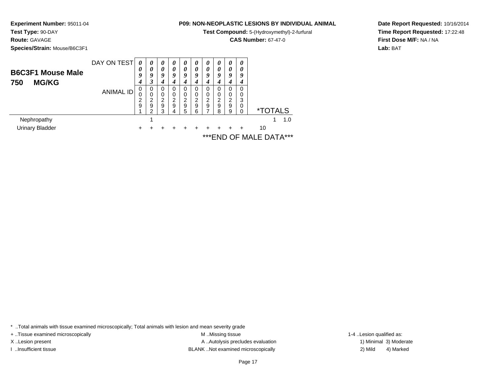**Test Compound:** 5-(Hydroxymethyl)-2-furfural

**CAS Number:** 67-47-0

**Date Report Requested:** 10/16/2014**Time Report Requested:** 17:22:48**First Dose M/F:** NA / NA**Lab:** BAT

**Experiment Number:** 95011-04

**Test Type:** 90-DAY

| <b>B6C3F1 Mouse Male</b><br><b>MG/KG</b><br>750 | DAY ON TEST<br>ANIMAL ID | 0<br>0<br>9<br>4<br>0<br>2 | $\theta$<br>0<br>9<br>3<br>0<br>2 | $\boldsymbol{\theta}$<br>0<br>9<br>4<br>0<br>$\Omega$<br>2 | $\theta$<br>0<br>9<br>4<br>0<br>$\Omega$<br>2 | 0<br>0<br>9<br>4<br>0<br>0<br>2 | $\theta$<br>0<br>9<br>4<br>0<br>0<br>2 | 0<br>0<br>9<br>4<br>0<br>0<br>2 | 0<br>$\boldsymbol{\theta}$<br>9<br>4<br>0<br>0<br>2 | $\boldsymbol{\theta}$<br>0<br>9<br>4<br>0<br>0<br>2 | 0<br>0<br>9<br>4<br>0<br>0<br>3 |                        |
|-------------------------------------------------|--------------------------|----------------------------|-----------------------------------|------------------------------------------------------------|-----------------------------------------------|---------------------------------|----------------------------------------|---------------------------------|-----------------------------------------------------|-----------------------------------------------------|---------------------------------|------------------------|
|                                                 |                          | 9                          | 9<br>ົ                            | 9<br>3                                                     | 9<br>4                                        | 9<br>5                          | 9<br>6                                 | 9                               | 9<br>8                                              | 9<br>9                                              | $\mathbf 0$<br>$\Omega$         | <i><b>*TOTALS</b></i>  |
| Nephropathy                                     |                          |                            | и                                 |                                                            |                                               |                                 |                                        |                                 |                                                     |                                                     |                                 | 1.0                    |
| <b>Urinary Bladder</b>                          |                          |                            |                                   |                                                            |                                               |                                 |                                        |                                 |                                                     |                                                     |                                 | 10                     |
|                                                 |                          |                            |                                   |                                                            |                                               |                                 |                                        |                                 |                                                     |                                                     |                                 | ***END OF MALE DATA*** |

\* ..Total animals with tissue examined microscopically; Total animals with lesion and mean severity grade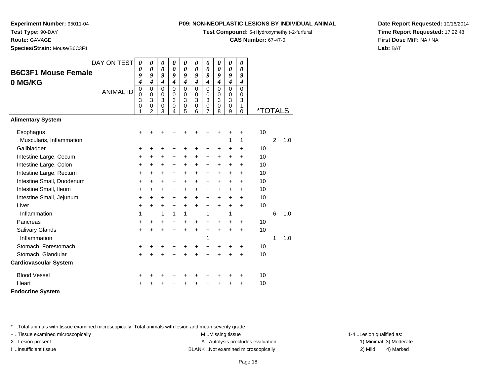**Test Compound:** 5-(Hydroxymethyl)-2-furfural

**CAS Number:** 67-47-0

**Date Report Requested:** 10/16/2014**Time Report Requested:** 17:22:48**First Dose M/F:** NA / NA**Lab:** BAT

**Route:** GAVAGE

**Test Type:** 90-DAY

**Species/Strain:** Mouse/B6C3F1

**Experiment Number:** 95011-04

|                              | DAY ON TEST      | $\boldsymbol{\theta}$                             | 0                                                             | 0                                       | $\boldsymbol{\theta}$                     | 0                                         | 0                     | 0                          | 0                                                | $\boldsymbol{\theta}$                             | 0                                                 |                       |                |     |
|------------------------------|------------------|---------------------------------------------------|---------------------------------------------------------------|-----------------------------------------|-------------------------------------------|-------------------------------------------|-----------------------|----------------------------|--------------------------------------------------|---------------------------------------------------|---------------------------------------------------|-----------------------|----------------|-----|
| <b>B6C3F1 Mouse Female</b>   |                  | 0<br>9                                            | 0<br>$\boldsymbol{g}$                                         | $\theta$<br>9                           | $\boldsymbol{\theta}$<br>$\boldsymbol{g}$ | $\theta$<br>9                             | 0<br>9                | $\boldsymbol{\theta}$<br>9 | 0<br>9                                           | 0<br>9                                            | 0<br>9                                            |                       |                |     |
| 0 MG/KG                      |                  | $\boldsymbol{4}$                                  | $\boldsymbol{4}$                                              | $\boldsymbol{4}$                        | $\boldsymbol{4}$                          | $\boldsymbol{4}$                          | 4                     | $\boldsymbol{4}$           | $\boldsymbol{4}$                                 | $\boldsymbol{4}$                                  | $\boldsymbol{4}$                                  |                       |                |     |
|                              | <b>ANIMAL ID</b> | $\mathbf 0$<br>$\mathbf 0$<br>3<br>$\pmb{0}$<br>1 | $\mathbf 0$<br>$\Omega$<br>3<br>$\mathbf 0$<br>$\mathfrak{p}$ | $\mathbf 0$<br>0<br>3<br>$\pmb{0}$<br>3 | $\mathbf 0$<br>0<br>3<br>0<br>4           | $\mathbf 0$<br>0<br>3<br>$\mathsf 0$<br>5 | 0<br>0<br>3<br>0<br>6 | 0<br>0<br>3<br>0<br>7      | $\Omega$<br>$\mathbf 0$<br>3<br>$\mathbf 0$<br>8 | $\mathbf 0$<br>$\mathbf 0$<br>3<br>$\pmb{0}$<br>9 | $\mathbf 0$<br>0<br>3<br>$\mathbf{1}$<br>$\Omega$ | <i><b>*TOTALS</b></i> |                |     |
| <b>Alimentary System</b>     |                  |                                                   |                                                               |                                         |                                           |                                           |                       |                            |                                                  |                                                   |                                                   |                       |                |     |
| Esophagus                    |                  | +                                                 |                                                               | +                                       |                                           |                                           |                       | +                          | +                                                |                                                   | +                                                 | 10                    |                |     |
| Muscularis, Inflammation     |                  |                                                   |                                                               |                                         |                                           |                                           |                       |                            |                                                  | 1                                                 | 1                                                 |                       | $\overline{2}$ | 1.0 |
| Gallbladder                  |                  | $\pm$                                             | +                                                             | +                                       | +                                         | +                                         | +                     | +                          | ٠                                                | $\ddot{}$                                         | $\ddot{}$                                         | 10                    |                |     |
| Intestine Large, Cecum       |                  | +                                                 | +                                                             | +                                       | +                                         | $\pm$                                     | $\ddot{}$             | +                          | $\ddot{}$                                        | $\ddot{}$                                         | $\ddot{}$                                         | 10                    |                |     |
| Intestine Large, Colon       |                  | +                                                 | +                                                             | +                                       | +                                         | +                                         | +                     | +                          | +                                                | $\ddot{}$                                         | $\ddot{}$                                         | 10                    |                |     |
| Intestine Large, Rectum      |                  | $\ddot{}$                                         | $\ddot{}$                                                     | $\ddot{}$                               | $\ddot{}$                                 | $\ddot{}$                                 | $\ddot{}$             | +                          | $\ddot{}$                                        | $\ddot{}$                                         | $\ddot{}$                                         | 10                    |                |     |
| Intestine Small, Duodenum    |                  | $\ddot{}$                                         | $\ddot{}$                                                     | +                                       | $\ddot{}$                                 | +                                         | +                     | +                          | $\ddot{}$                                        | $\ddot{}$                                         | $\ddot{}$                                         | 10                    |                |     |
| Intestine Small, Ileum       |                  | $\ddot{}$                                         | $\ddot{}$                                                     | +                                       | $\ddot{}$                                 | +                                         | $\ddot{}$             | +                          | +                                                | $\ddot{}$                                         | +                                                 | 10                    |                |     |
| Intestine Small, Jejunum     |                  | $\ddot{}$                                         | $\ddot{}$                                                     | $\ddot{}$                               | $\ddot{}$                                 | $\ddot{}$                                 | $\ddot{}$             | $\ddot{}$                  | $\ddot{}$                                        | $\ddot{}$                                         | $\ddot{}$                                         | 10                    |                |     |
| Liver                        |                  | $+$                                               | $\ddot{}$                                                     | $\ddot{}$                               | $\ddot{}$                                 | $\ddot{}$                                 | $\ddot{}$             | +                          | $\ddot{}$                                        | $\ddot{}$                                         | $+$                                               | 10                    |                |     |
| Inflammation                 |                  | 1                                                 |                                                               | 1                                       | 1                                         | 1                                         |                       | 1                          |                                                  | 1                                                 |                                                   |                       | 6              | 1.0 |
| Pancreas                     |                  | +                                                 | +                                                             | $\ddot{}$                               | $\ddot{}$                                 | $\ddot{}$                                 | $\ddot{}$             | $\ddot{}$                  | +                                                | +                                                 | $\ddot{}$                                         | 10                    |                |     |
| <b>Salivary Glands</b>       |                  | $+$                                               | $\ddot{}$                                                     | $\ddot{}$                               | $\ddot{}$                                 | $\ddot{}$                                 | +                     | $\ddot{}$                  | $\ddot{}$                                        | $\ddot{}$                                         | $\ddot{}$                                         | 10                    |                |     |
| Inflammation                 |                  |                                                   |                                                               |                                         |                                           |                                           |                       | 1                          |                                                  |                                                   |                                                   |                       | 1              | 1.0 |
| Stomach, Forestomach         |                  | +                                                 | +                                                             | +                                       | +                                         | +                                         | +                     | +                          | +                                                | +                                                 | +                                                 | 10                    |                |     |
| Stomach, Glandular           |                  | $\ddot{}$                                         | $\ddot{}$                                                     | $\ddot{}$                               | $\ddot{}$                                 | $\ddot{}$                                 | $\ddot{}$             | $\ddot{}$                  | $\ddot{}$                                        | $\ddot{}$                                         | $\ddot{}$                                         | 10                    |                |     |
| <b>Cardiovascular System</b> |                  |                                                   |                                                               |                                         |                                           |                                           |                       |                            |                                                  |                                                   |                                                   |                       |                |     |
| <b>Blood Vessel</b>          |                  | +                                                 |                                                               | +                                       |                                           | +                                         | +                     | +                          |                                                  |                                                   | +                                                 | 10                    |                |     |
| Heart                        |                  | +                                                 |                                                               | +                                       | +                                         | +                                         | +                     | +                          |                                                  |                                                   | +                                                 | 10                    |                |     |
| <b>Endocrine System</b>      |                  |                                                   |                                                               |                                         |                                           |                                           |                       |                            |                                                  |                                                   |                                                   |                       |                |     |

\* ..Total animals with tissue examined microscopically; Total animals with lesion and mean severity grade

+ ..Tissue examined microscopically examined microscopically examined as:  $M$  ..Missing tissue 1-4 ..Lesion qualified as: X..Lesion present **A ..Autolysis precludes evaluation** A ..Autolysis precludes evaluation 1) Minimal 3) Moderate

I ..Insufficient tissue BLANK ..Not examined microscopically 2) Mild 4) Marked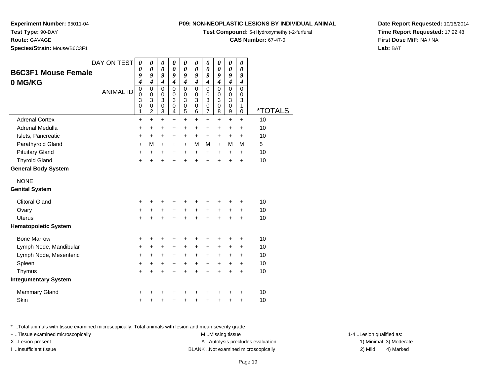**Test Compound:** 5-(Hydroxymethyl)-2-furfural

**CAS Number:** 67-47-0

**Date Report Requested:** 10/16/2014**Time Report Requested:** 17:22:48**First Dose M/F:** NA / NA**Lab:** BAT

**Experiment Number:** 95011-04**Test Type:** 90-DAY**Route:** GAVAGE**Species/Strain:** Mouse/B6C3F1

| <b>B6C3F1 Mouse Female</b>  | DAY ON TEST      | 0<br>0                       | 0<br>0                   | 0<br>0                           | 0<br>0                                    | 0<br>0                                         | 0<br>0                          | 0<br>0                           | 0<br>$\theta$                        | 0<br>0                  | 0<br>$\boldsymbol{\theta}$ |                       |
|-----------------------------|------------------|------------------------------|--------------------------|----------------------------------|-------------------------------------------|------------------------------------------------|---------------------------------|----------------------------------|--------------------------------------|-------------------------|----------------------------|-----------------------|
|                             |                  | 9<br>$\overline{\mathbf{4}}$ | 9<br>$\boldsymbol{4}$    | 9<br>$\overline{\boldsymbol{4}}$ | 9<br>$\boldsymbol{4}$                     | 9                                              | 9                               | 9<br>$\boldsymbol{4}$            | 9                                    | 9<br>$\boldsymbol{4}$   | 9                          |                       |
| 0 MG/KG                     | <b>ANIMAL ID</b> | 0<br>$\mathbf 0$             | 0<br>$\mathbf 0$         | 0<br>0                           | $\mathbf 0$<br>0                          | $\boldsymbol{4}$<br>$\mathbf 0$<br>$\mathbf 0$ | 4<br>$\mathbf 0$<br>$\mathbf 0$ | $\mathbf 0$<br>$\mathbf 0$       | $\boldsymbol{4}$<br>0<br>$\mathbf 0$ | $\mathbf 0$<br>$\Omega$ | 4<br>0<br>0                |                       |
|                             |                  | 3<br>0<br>1                  | 3<br>0<br>$\overline{c}$ | 3<br>0<br>3                      | 3<br>$\pmb{0}$<br>$\overline{\mathbf{4}}$ | 3<br>0<br>5                                    | 3<br>$\boldsymbol{0}$<br>6      | 3<br>$\pmb{0}$<br>$\overline{7}$ | 3<br>0<br>8                          | 3<br>$\mathbf 0$<br>9   | 3<br>1<br>0                | <i><b>*TOTALS</b></i> |
| <b>Adrenal Cortex</b>       |                  | $\ddot{}$                    | $+$                      | $\ddot{}$                        | $+$                                       | $\ddot{}$                                      | $\ddot{}$                       | $\ddot{}$                        | $\ddot{}$                            | $\ddot{}$               | $\ddot{}$                  | 10                    |
| Adrenal Medulla             |                  | +                            | $\ddot{}$                | $\ddot{}$                        | $\ddot{}$                                 | $\ddot{}$                                      | $\ddot{}$                       | $\ddot{}$                        | $\ddot{}$                            | $\ddot{}$               | +                          | 10                    |
| Islets, Pancreatic          |                  | +                            | +                        | $\pm$                            | $\ddot{}$                                 | $\ddot{}$                                      | $\ddot{}$                       | $\ddot{}$                        | $\ddot{}$                            | $\ddot{}$               | +                          | 10                    |
| Parathyroid Gland           |                  | $\ddot{}$                    | M                        | $\ddot{}$                        | $+$                                       | $+$                                            | М                               | м                                | $\ddot{}$                            | м                       | М                          | 5                     |
| <b>Pituitary Gland</b>      |                  | $\ddot{}$                    | +                        | $\ddot{}$                        | $\ddot{}$                                 | $\ddot{}$                                      | $\ddot{}$                       | $\ddot{}$                        | $\ddot{}$                            | $\ddot{}$               | $\ddot{}$                  | 10                    |
| <b>Thyroid Gland</b>        |                  | ÷                            | $\ddot{}$                | $\ddot{}$                        | $\ddot{}$                                 | $\ddot{}$                                      | $\ddot{}$                       | $\ddot{}$                        | $\ddot{}$                            | $\ddot{}$               | ÷                          | 10                    |
| <b>General Body System</b>  |                  |                              |                          |                                  |                                           |                                                |                                 |                                  |                                      |                         |                            |                       |
| <b>NONE</b>                 |                  |                              |                          |                                  |                                           |                                                |                                 |                                  |                                      |                         |                            |                       |
| <b>Genital System</b>       |                  |                              |                          |                                  |                                           |                                                |                                 |                                  |                                      |                         |                            |                       |
| <b>Clitoral Gland</b>       |                  | +                            | +                        | +                                | +                                         |                                                | +                               | +                                | +                                    | +                       | ٠                          | 10                    |
| Ovary                       |                  | +                            | +                        | $\pm$                            | $\ddot{}$                                 | $\pm$                                          | +                               | $\ddot{}$                        | +                                    | $\ddot{}$               | +                          | 10                    |
| <b>Uterus</b>               |                  | $\ddot{}$                    | $\ddot{}$                | ÷                                | $\ddot{}$                                 | $\ddot{}$                                      | $\ddot{}$                       | $\ddot{}$                        | $\ddot{}$                            | $\ddot{}$               | $\ddot{}$                  | 10                    |
| <b>Hematopoietic System</b> |                  |                              |                          |                                  |                                           |                                                |                                 |                                  |                                      |                         |                            |                       |
| <b>Bone Marrow</b>          |                  | +                            | +                        | +                                | +                                         | +                                              | +                               | +                                | +                                    | +                       | +                          | 10                    |
| Lymph Node, Mandibular      |                  | $\ddot{}$                    | $\ddot{}$                | $\ddot{}$                        | $\ddot{}$                                 | $\ddot{}$                                      | $\ddot{}$                       | $\ddot{}$                        | +                                    | $\ddot{}$               | $\ddot{}$                  | 10                    |
| Lymph Node, Mesenteric      |                  | $\ddot{}$                    | $\ddot{}$                | +                                | $\ddot{}$                                 | $\ddot{}$                                      | $\ddot{}$                       | $\ddot{}$                        | +                                    | $\ddot{}$               | $\ddot{}$                  | 10                    |
| Spleen                      |                  | +                            | $\pm$                    | $\pm$                            | $\ddot{}$                                 | $\ddot{}$                                      | +                               | $\ddot{}$                        | $\ddot{}$                            | $\ddot{}$               | +                          | 10                    |
| Thymus                      |                  | $\ddot{}$                    | $\ddot{}$                | $\ddot{}$                        | $\ddot{}$                                 | $\ddot{}$                                      | $\ddot{}$                       | $\ddot{}$                        | $\ddot{}$                            | $\ddot{}$               | $\ddot{}$                  | 10                    |
| <b>Integumentary System</b> |                  |                              |                          |                                  |                                           |                                                |                                 |                                  |                                      |                         |                            |                       |
| <b>Mammary Gland</b>        |                  | +                            |                          |                                  |                                           |                                                |                                 |                                  | +                                    | ┿                       | +                          | 10                    |
| Skin                        |                  | ٠                            | +                        | +                                | +                                         | +                                              | +                               | +                                | +                                    | +                       | +                          | 10                    |

\* ..Total animals with tissue examined microscopically; Total animals with lesion and mean severity grade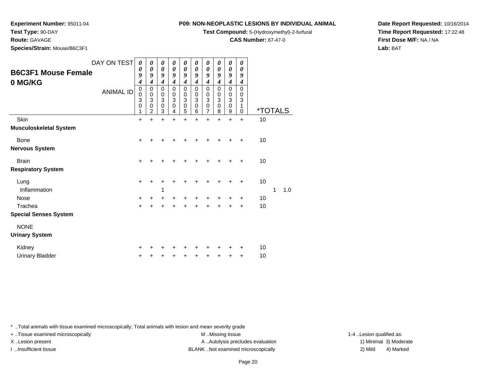**Test Compound:** 5-(Hydroxymethyl)-2-furfural

**CAS Number:** 67-47-0

**Date Report Requested:** 10/16/2014**Time Report Requested:** 17:22:48**First Dose M/F:** NA / NA**Lab:** BAT

**Route:** GAVAGE

**Test Type:** 90-DAY

**Species/Strain:** Mouse/B6C3F1

**Experiment Number:** 95011-04

| <b>B6C3F1 Mouse Female</b><br>0 MG/KG | DAY ON TEST<br><b>ANIMAL ID</b> | 0<br>0<br>9<br>$\boldsymbol{4}$<br>0<br>0<br>3<br>0<br>1 | 0<br>0<br>9<br>4<br>0<br>$\mathbf 0$<br>3<br>0<br>2 | 0<br>$\boldsymbol{\theta}$<br>9<br>4<br>$\,0\,$<br>$\pmb{0}$<br>$\ensuremath{\mathsf{3}}$<br>$\pmb{0}$<br>3 | 0<br>0<br>9<br>4<br>0<br>0<br>3<br>0<br>4 | 0<br>0<br>9<br>$\boldsymbol{4}$<br>0<br>$\pmb{0}$<br>$\ensuremath{\mathsf{3}}$<br>$\pmb{0}$<br>5 | $\boldsymbol{\theta}$<br>0<br>9<br>$\boldsymbol{4}$<br>$\mathbf 0$<br>$\mathbf 0$<br>3<br>$\mathbf 0$<br>6 | $\boldsymbol{\theta}$<br>0<br>9<br>4<br>$\,0\,$<br>$\mathbf 0$<br>$\ensuremath{\mathsf{3}}$<br>$\mathbf 0$<br>7 | 0<br>$\boldsymbol{\theta}$<br>9<br>$\boldsymbol{4}$<br>0<br>0<br>$\mathbf{3}$<br>$\mathbf 0$<br>8 | $\boldsymbol{\theta}$<br>0<br>9<br>4<br>0<br>$\pmb{0}$<br>$\mathbf{3}$<br>$\mathbf 0$<br>9 | 0<br>0<br>9<br>4<br>0<br>0<br>$\mathbf{3}$<br>1<br>0 | <i><b>*TOTALS</b></i> |   |     |
|---------------------------------------|---------------------------------|----------------------------------------------------------|-----------------------------------------------------|-------------------------------------------------------------------------------------------------------------|-------------------------------------------|--------------------------------------------------------------------------------------------------|------------------------------------------------------------------------------------------------------------|-----------------------------------------------------------------------------------------------------------------|---------------------------------------------------------------------------------------------------|--------------------------------------------------------------------------------------------|------------------------------------------------------|-----------------------|---|-----|
| Skin                                  |                                 | $\ddot{}$                                                | $\ddot{}$                                           | $\ddot{}$                                                                                                   | $\ddot{}$                                 | $\ddot{}$                                                                                        | $\ddot{}$                                                                                                  | $\ddot{}$                                                                                                       | $\ddot{}$                                                                                         | $\ddot{}$                                                                                  | $\ddot{}$                                            | 10                    |   |     |
| <b>Musculoskeletal System</b>         |                                 |                                                          |                                                     |                                                                                                             |                                           |                                                                                                  |                                                                                                            |                                                                                                                 |                                                                                                   |                                                                                            |                                                      |                       |   |     |
| Bone                                  |                                 | ÷                                                        |                                                     |                                                                                                             |                                           |                                                                                                  |                                                                                                            |                                                                                                                 |                                                                                                   | ٠                                                                                          | ٠                                                    | 10                    |   |     |
| <b>Nervous System</b>                 |                                 |                                                          |                                                     |                                                                                                             |                                           |                                                                                                  |                                                                                                            |                                                                                                                 |                                                                                                   |                                                                                            |                                                      |                       |   |     |
| <b>Brain</b>                          |                                 | +                                                        |                                                     |                                                                                                             |                                           |                                                                                                  |                                                                                                            |                                                                                                                 |                                                                                                   |                                                                                            | +                                                    | 10                    |   |     |
| <b>Respiratory System</b>             |                                 |                                                          |                                                     |                                                                                                             |                                           |                                                                                                  |                                                                                                            |                                                                                                                 |                                                                                                   |                                                                                            |                                                      |                       |   |     |
| Lung                                  |                                 | +                                                        |                                                     |                                                                                                             |                                           |                                                                                                  |                                                                                                            |                                                                                                                 |                                                                                                   | +                                                                                          | +                                                    | 10                    |   |     |
| Inflammation                          |                                 |                                                          |                                                     | 1                                                                                                           |                                           |                                                                                                  |                                                                                                            |                                                                                                                 |                                                                                                   |                                                                                            |                                                      |                       | 1 | 1.0 |
| Nose                                  |                                 | $\ddot{}$                                                |                                                     |                                                                                                             |                                           |                                                                                                  |                                                                                                            |                                                                                                                 |                                                                                                   |                                                                                            | ÷                                                    | 10                    |   |     |
| Trachea                               |                                 | $\ddot{}$                                                |                                                     |                                                                                                             |                                           |                                                                                                  |                                                                                                            |                                                                                                                 |                                                                                                   |                                                                                            | $\ddot{}$                                            | 10                    |   |     |
| <b>Special Senses System</b>          |                                 |                                                          |                                                     |                                                                                                             |                                           |                                                                                                  |                                                                                                            |                                                                                                                 |                                                                                                   |                                                                                            |                                                      |                       |   |     |
| <b>NONE</b>                           |                                 |                                                          |                                                     |                                                                                                             |                                           |                                                                                                  |                                                                                                            |                                                                                                                 |                                                                                                   |                                                                                            |                                                      |                       |   |     |
| <b>Urinary System</b>                 |                                 |                                                          |                                                     |                                                                                                             |                                           |                                                                                                  |                                                                                                            |                                                                                                                 |                                                                                                   |                                                                                            |                                                      |                       |   |     |
| Kidney                                |                                 | +                                                        |                                                     |                                                                                                             |                                           |                                                                                                  |                                                                                                            |                                                                                                                 |                                                                                                   |                                                                                            | +                                                    | 10                    |   |     |
| <b>Urinary Bladder</b>                |                                 | +                                                        |                                                     |                                                                                                             |                                           |                                                                                                  |                                                                                                            |                                                                                                                 |                                                                                                   | +                                                                                          | +                                                    | 10                    |   |     |

\* ..Total animals with tissue examined microscopically; Total animals with lesion and mean severity grade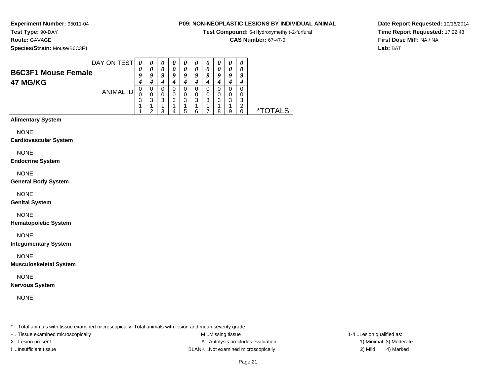**Test Compound:** 5-(Hydroxymethyl)-2-furfural

**CAS Number:** 67-47-0

**Date Report Requested:** 10/16/2014**Time Report Requested:** 17:22:48**First Dose M/F:** NA / NA**Lab:** BAT

**Experiment Number:** 95011-04**Test Type:** 90-DAY**Route:** GAVAGE**Species/Strain:** Mouse/B6C3F1

| DAY ON TEST                | 0 |   | $\boldsymbol{\theta}$ | U | U | U  | U        | $\boldsymbol{\theta}$ | 0 | 0 |                       |
|----------------------------|---|---|-----------------------|---|---|----|----------|-----------------------|---|---|-----------------------|
| <b>B6C3F1 Mouse Female</b> |   |   | 0                     |   | 0 |    | $\theta$ |                       | 0 |   |                       |
|                            | Q |   | o                     |   | o | υ  | a        | а                     | a |   |                       |
| 47 MG/KG                   |   |   |                       |   |   |    |          |                       |   |   |                       |
| ANIMAL ID                  | U | U | 0                     |   |   |    |          |                       | 0 |   |                       |
|                            |   |   | 0                     |   |   |    | 0        | 0                     | 0 |   |                       |
|                            | 3 | 3 | 3                     | 3 | 3 | 3  | 3        | 3                     | 3 | 3 |                       |
|                            |   | ົ |                       |   |   |    |          |                       |   | ◠ |                       |
|                            |   |   | ◠                     |   |   | ิล |          | Ω                     | a |   | <i><b>*TOTALS</b></i> |

## **Alimentary System**

NONE

**Cardiovascular System**

NONE

**Endocrine System**

NONE

**General Body System**

NONE

**Genital System**

NONE

**Hematopoietic System**

NONE

**Integumentary System**

NONE

**Musculoskeletal System**

NONE

**Nervous System**

NONE

\* ..Total animals with tissue examined microscopically; Total animals with lesion and mean severity grade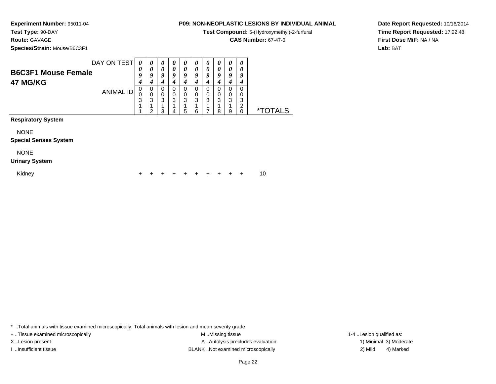**Test Compound:** 5-(Hydroxymethyl)-2-furfural

**CAS Number:** 67-47-0

**Date Report Requested:** 10/16/2014**Time Report Requested:** 17:22:48**First Dose M/F:** NA / NA**Lab:** BAT

**Experiment Number:** 95011-04**Test Type:** 90-DAY**Route:** GAVAGE**Species/Strain:** Mouse/B6C3F1

| DAY ON TEST<br><b>B6C3F1 Mouse Female</b> | $\boldsymbol{\theta}$<br>U<br>Q | o      | U<br>о      | о |   | o | 0 | 0       |   | U<br>$\boldsymbol{\theta}$<br>9 |
|-------------------------------------------|---------------------------------|--------|-------------|---|---|---|---|---------|---|---------------------------------|
| 47 MG/KG<br>ANIMAL ID                     | 0<br>0<br>3                     | 0<br>◠ | O<br>0<br>◠ | ີ | 3 | ◠ | 3 | ົ       | ◠ | 4<br>ົ<br>J                     |
|                                           |                                 | ົ      | ົ           | Λ | ς | ⌒ |   | $\circ$ | Q | ◠                               |

**Respiratory System**

NONE

**Special Senses System**

NONE

#### **Urinary System**

Kidney

 <sup>+</sup><sup>+</sup> <sup>+</sup> <sup>+</sup> <sup>+</sup> <sup>+</sup> <sup>+</sup> <sup>+</sup> <sup>+</sup> + 10

\* ..Total animals with tissue examined microscopically; Total animals with lesion and mean severity grade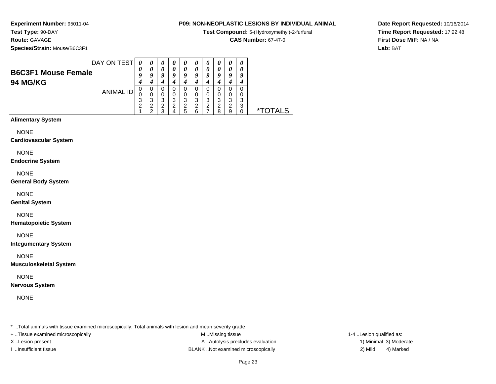**Test Compound:** 5-(Hydroxymethyl)-2-furfural

**CAS Number:** 67-47-0

**Date Report Requested:** 10/16/2014**Time Report Requested:** 17:22:48**First Dose M/F:** NA / NA**Lab:** BAT

**Experiment Number:** 95011-04**Test Type:** 90-DAY**Route:** GAVAGE**Species/Strain:** Mouse/B6C3F1

| DAY ON TEST                | 0      | 0                | U        | U | $\boldsymbol{\theta}$ | $\boldsymbol{\theta}$ | $\boldsymbol{\theta}$ | $\prime$ | 0 | 0 |       |
|----------------------------|--------|------------------|----------|---|-----------------------|-----------------------|-----------------------|----------|---|---|-------|
| <b>B6C3F1 Mouse Female</b> | 0      |                  | $\theta$ |   | 0                     | 0                     | 0                     |          | 0 |   |       |
|                            | 9      | $\boldsymbol{0}$ | o        | υ | 9                     | ч                     | o                     | o        | Q | a |       |
| <b>94 MG/KG</b>            |        |                  |          |   |                       |                       |                       |          |   |   |       |
| ANIMAL ID                  |        | 0                |          |   |                       |                       | 0                     |          | 0 | 0 |       |
|                            | U      |                  |          |   | 0                     | 0                     | 0                     |          | 0 | 0 |       |
|                            | 3      | 3                | 3        | 3 | 3                     | 3                     | 3                     | ≏<br>J   | 3 | 3 |       |
|                            | ົ<br>∠ | ⌒                | ົ        |   | っ<br>∠                | ົ                     | 2                     | ◠        | 2 | 3 | ∗⊤    |
|                            |        |                  | っ        |   | 5                     | 6                     |                       | я        | 9 |   | TAI S |

# **Alimentary System**

NONE

**Cardiovascular System**

NONE

**Endocrine System**

NONE

**General Body System**

NONE

**Genital System**

# NONE

**Hematopoietic System**

NONE

**Integumentary System**

NONE

**Musculoskeletal System**

NONE

**Nervous System**

NONE

\* ..Total animals with tissue examined microscopically; Total animals with lesion and mean severity grade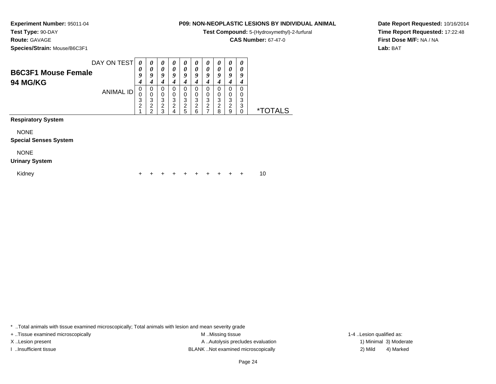**Test Compound:** 5-(Hydroxymethyl)-2-furfural

**CAS Number:** 67-47-0

**Date Report Requested:** 10/16/2014**Time Report Requested:** 17:22:48**First Dose M/F:** NA / NA**Lab:** BAT

**Test Type:** 90-DAY**Route:** GAVAGE**Species/Strain:** Mouse/B6C3F1

**Experiment Number:** 95011-04

**Respiratory System**

NONE

**Special Senses System**

NONE

#### **Urinary System**

Kidney

 <sup>+</sup><sup>+</sup> <sup>+</sup> <sup>+</sup> <sup>+</sup> <sup>+</sup> <sup>+</sup> <sup>+</sup> <sup>+</sup> + 10

\* ..Total animals with tissue examined microscopically; Total animals with lesion and mean severity grade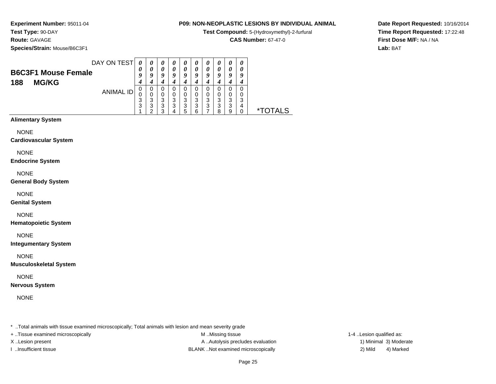**Test Compound:** 5-(Hydroxymethyl)-2-furfural

**CAS Number:** 67-47-0

**Date Report Requested:** 10/16/2014**Time Report Requested:** 17:22:48**First Dose M/F:** NA / NA**Lab:** BAT

**Experiment Number:** 95011-04**Test Type:** 90-DAY**Route:** GAVAGE**Species/Strain:** Mouse/B6C3F1

| DAY ON TEST<br><b>B6C3F1 Mouse Female</b><br><b>MG/KG</b><br>188 | 0<br>U<br>Q      | G                     | Q                     |             | U<br>Q      |             | U<br>0<br>9 |        | U<br>o      | $\boldsymbol{\theta}$<br>U<br>у |                    |
|------------------------------------------------------------------|------------------|-----------------------|-----------------------|-------------|-------------|-------------|-------------|--------|-------------|---------------------------------|--------------------|
| ANIMAL ID                                                        | 0<br>0<br>3<br>3 | O<br>U<br>3<br>3<br>◠ | U<br>0<br>3<br>3<br>ົ | U<br>3<br>3 | 0<br>3<br>3 | 3<br>3<br>⌒ | 0<br>3<br>3 | ົ<br>3 | O<br>3<br>3 | c<br>w<br>$\Delta$              | $\star^-$<br>TAI S |

# **Alimentary System**

NONE

**Cardiovascular System**

NONE

**Endocrine System**

NONE

**General Body System**

NONE

**Genital System**

NONE

**Hematopoietic System**

NONE

**Integumentary System**

NONE

**Musculoskeletal System**

NONE

**Nervous System**

NONE

\* ..Total animals with tissue examined microscopically; Total animals with lesion and mean severity grade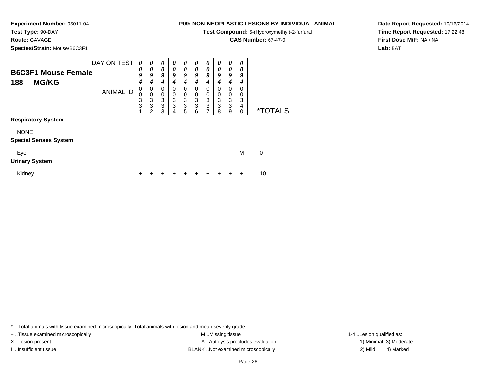**Test Compound:** 5-(Hydroxymethyl)-2-furfural

**CAS Number:** 67-47-0

**Date Report Requested:** 10/16/2014**Time Report Requested:** 17:22:48**First Dose M/F:** NA / NA**Lab:** BAT

**Route:** GAVAGE**Species/Strain:** Mouse/B6C3F1

**Test Type:** 90-DAY

**Experiment Number:** 95011-04

| <b>B6C3F1 Mouse Female</b><br><b>MG/KG</b><br>188            | DAY ON TEST<br><b>ANIMAL ID</b> | 0<br>0<br>9<br>$\boldsymbol{4}$<br>0<br>0<br>$\frac{3}{3}$ | 0<br>0<br>9<br>4<br>0<br>$\mathbf 0$<br>3<br>3<br>$\mathfrak{p}$ | 0<br>0<br>9<br>4<br>0<br>0<br>3<br>3<br>3 | 0<br>0<br>9<br>4<br>$\Omega$<br>$\mathbf 0$<br>3<br>3<br>4 | $\theta$<br>0<br>9<br>4<br>$\Omega$<br>$\mathbf 0$<br>3<br>3<br>5 | $\boldsymbol{\theta}$<br>0<br>9<br>4<br>$\Omega$<br>$\mathbf 0$<br>$\mathbf{3}$<br>3<br>6 | $\theta$<br>0<br>9<br>4<br>0<br>$\mathbf 0$<br>$\ensuremath{\mathsf{3}}$<br>3<br>7 | 0<br>0<br>9<br>4<br>$\Omega$<br>0<br>$\mathbf{3}$<br>3<br>8 | 0<br>0<br>9<br>4<br>0<br>0<br>3<br>3<br>9 | 0<br>0<br>9<br>4<br>0<br>0<br>3<br>4<br>0 | <i><b>*TOTALS</b></i> |
|--------------------------------------------------------------|---------------------------------|------------------------------------------------------------|------------------------------------------------------------------|-------------------------------------------|------------------------------------------------------------|-------------------------------------------------------------------|-------------------------------------------------------------------------------------------|------------------------------------------------------------------------------------|-------------------------------------------------------------|-------------------------------------------|-------------------------------------------|-----------------------|
| <b>Respiratory System</b><br><b>NONE</b>                     |                                 |                                                            |                                                                  |                                           |                                                            |                                                                   |                                                                                           |                                                                                    |                                                             |                                           |                                           |                       |
| <b>Special Senses System</b><br>Eye<br><b>Urinary System</b> |                                 |                                                            |                                                                  |                                           |                                                            |                                                                   |                                                                                           |                                                                                    |                                                             |                                           | M                                         | $\mathbf 0$           |
| Kidney                                                       |                                 |                                                            |                                                                  |                                           |                                                            |                                                                   |                                                                                           | +                                                                                  | $\div$                                                      |                                           | $\ddot{}$                                 | 10                    |

\* ..Total animals with tissue examined microscopically; Total animals with lesion and mean severity grade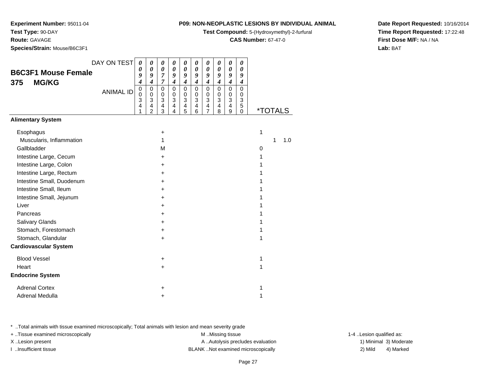**Test Compound:** 5-(Hydroxymethyl)-2-furfural

*00*

*0 09*

**CAS Number:** 67-47-0

**Date Report Requested:** 10/16/2014**Time Report Requested:** 17:22:48**First Dose M/F:** NA / NA**Lab:** BAT

\* ..Total animals with tissue examined microscopically; Total animals with lesion and mean severity grade

+ ..Tissue examined microscopically examined microscopically examined as:  $M$  ..Missing tissue 1-4 ..Lesion qualified as: X..Lesion present **A ..Autolysis precludes evaluation** A ..Autolysis precludes evaluation 1) Minimal 3) Moderate

I ..Insufficient tissue BLANK ..Not examined microscopically 2) Mild 4) Marked

| r<br>r |  |
|--------|--|
|        |  |

|                                                   | DAY ON TEST      | 0                             | 0                                            | 0                                            | 0                          | 0                                              | 0                          | 0                                  | 0                          | 0                                                      | 0                     |                       |     |
|---------------------------------------------------|------------------|-------------------------------|----------------------------------------------|----------------------------------------------|----------------------------|------------------------------------------------|----------------------------|------------------------------------|----------------------------|--------------------------------------------------------|-----------------------|-----------------------|-----|
| <b>B6C3F1 Mouse Female</b><br><b>MG/KG</b><br>375 |                  | 0<br>9<br>4                   | 0<br>9<br>$\boldsymbol{4}$                   | $\boldsymbol{\theta}$<br>$\overline{7}$<br>7 | 0<br>9<br>$\boldsymbol{4}$ | $\boldsymbol{\theta}$<br>9<br>$\boldsymbol{4}$ | 0<br>9<br>$\boldsymbol{4}$ | 0<br>9<br>$\boldsymbol{4}$         | 0<br>9<br>$\boldsymbol{4}$ | 0<br>9<br>$\boldsymbol{4}$                             | 0<br>9<br>4           |                       |     |
|                                                   | <b>ANIMAL ID</b> | $\pmb{0}$<br>0<br>3<br>4<br>1 | 0<br>$\mathbf 0$<br>3<br>4<br>$\overline{2}$ | 0<br>0<br>3<br>4<br>3                        | 0<br>0<br>3<br>4<br>4      | 0<br>0<br>3<br>$\overline{\mathbf{4}}$<br>5    | 0<br>0<br>3<br>4<br>6      | 0<br>0<br>3<br>4<br>$\overline{7}$ | 0<br>0<br>3<br>4<br>8      | 0<br>0<br>$\mathbf{3}$<br>$\overline{\mathbf{4}}$<br>9 | 0<br>0<br>3<br>5<br>0 | <i><b>*TOTALS</b></i> |     |
| <b>Alimentary System</b>                          |                  |                               |                                              |                                              |                            |                                                |                            |                                    |                            |                                                        |                       |                       |     |
| Esophagus                                         |                  |                               |                                              | $\ddot{}$                                    |                            |                                                |                            |                                    |                            |                                                        |                       | 1                     |     |
| Muscularis, Inflammation                          |                  |                               |                                              | 1                                            |                            |                                                |                            |                                    |                            |                                                        |                       | 1                     | 1.0 |
| Gallbladder                                       |                  |                               |                                              | M                                            |                            |                                                |                            |                                    |                            |                                                        |                       | 0                     |     |
| Intestine Large, Cecum                            |                  |                               |                                              | $+$                                          |                            |                                                |                            |                                    |                            |                                                        |                       | 1                     |     |
| Intestine Large, Colon                            |                  |                               |                                              | $\ddot{}$                                    |                            |                                                |                            |                                    |                            |                                                        |                       | 1                     |     |
| Intestine Large, Rectum                           |                  |                               |                                              | $\pm$                                        |                            |                                                |                            |                                    |                            |                                                        |                       | 1                     |     |
| Intestine Small, Duodenum                         |                  |                               |                                              | $\ddot{}$                                    |                            |                                                |                            |                                    |                            |                                                        |                       | 1                     |     |
| Intestine Small, Ileum                            |                  |                               |                                              | $\pm$                                        |                            |                                                |                            |                                    |                            |                                                        |                       | 1                     |     |
| Intestine Small, Jejunum                          |                  |                               |                                              | +                                            |                            |                                                |                            |                                    |                            |                                                        |                       | 1                     |     |
| Liver                                             |                  |                               |                                              | $\ddot{}$                                    |                            |                                                |                            |                                    |                            |                                                        |                       | 1                     |     |
| Pancreas                                          |                  |                               |                                              | $\ddot{}$                                    |                            |                                                |                            |                                    |                            |                                                        |                       | 1                     |     |
| Salivary Glands                                   |                  |                               |                                              | +                                            |                            |                                                |                            |                                    |                            |                                                        |                       | 1                     |     |
| Stomach, Forestomach                              |                  |                               |                                              | $\ddot{}$                                    |                            |                                                |                            |                                    |                            |                                                        |                       | 1                     |     |
| Stomach, Glandular                                |                  |                               |                                              | $\ddot{}$                                    |                            |                                                |                            |                                    |                            |                                                        |                       | 1                     |     |
| <b>Cardiovascular System</b>                      |                  |                               |                                              |                                              |                            |                                                |                            |                                    |                            |                                                        |                       |                       |     |
| <b>Blood Vessel</b>                               |                  |                               |                                              | +                                            |                            |                                                |                            |                                    |                            |                                                        |                       | 1                     |     |
| Heart                                             |                  |                               |                                              | $\ddot{}$                                    |                            |                                                |                            |                                    |                            |                                                        |                       | 1                     |     |
| <b>Endocrine System</b>                           |                  |                               |                                              |                                              |                            |                                                |                            |                                    |                            |                                                        |                       |                       |     |
| <b>Adrenal Cortex</b>                             |                  |                               |                                              | +                                            |                            |                                                |                            |                                    |                            |                                                        |                       | 1                     |     |
| Adrenal Medulla                                   |                  |                               |                                              | +                                            |                            |                                                |                            |                                    |                            |                                                        |                       | 1                     |     |
|                                                   |                  |                               |                                              |                                              |                            |                                                |                            |                                    |                            |                                                        |                       |                       |     |

# **Experiment Number:** 95011-04**Test Type:** 90-DAY

**Route:** GAVAGE

**Species/Strain:** Mouse/B6C3F1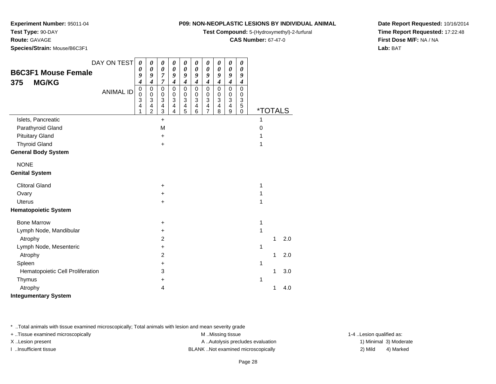**Test Compound:** 5-(Hydroxymethyl)-2-furfural

**CAS Number:** 67-47-0

**Date Report Requested:** 10/16/2014**Time Report Requested:** 17:22:48**First Dose M/F:** NA / NA**Lab:** BAT

**Route:** GAVAGE

**Test Type:** 90-DAY

**Species/Strain:** Mouse/B6C3F1

**Experiment Number:** 95011-04

| <b>B6C3F1 Mouse Female</b><br>375<br><b>MG/KG</b> | DAY ON TEST<br><b>ANIMAL ID</b> | $\boldsymbol{\theta}$<br>$\boldsymbol{\theta}$<br>9<br>$\boldsymbol{4}$<br>$\pmb{0}$<br>$\mathbf 0$<br>3<br>$\overline{\mathbf{4}}$<br>1 | 0<br>$\pmb{\theta}$<br>9<br>$\boldsymbol{4}$<br>$\pmb{0}$<br>0<br>3<br>4<br>$\overline{2}$ | 0<br>$\pmb{\theta}$<br>7<br>$\overline{7}$<br>$\mathsf 0$<br>0<br>3<br>$\overline{\mathbf{4}}$<br>3 | $\boldsymbol{\theta}$<br>$\pmb{\theta}$<br>9<br>$\boldsymbol{4}$<br>$\mathbf 0$<br>0<br>3<br>$\overline{4}$<br>4 | 0<br>$\boldsymbol{\theta}$<br>9<br>$\boldsymbol{4}$<br>$\mathbf 0$<br>0<br>3<br>$\overline{\mathbf{4}}$<br>5 | 0<br>$\pmb{\theta}$<br>9<br>$\boldsymbol{4}$<br>$\mathsf 0$<br>$\pmb{0}$<br>$\mathbf{3}$<br>4<br>6 | 0<br>$\boldsymbol{\theta}$<br>9<br>$\boldsymbol{4}$<br>$\mathbf 0$<br>0<br>3<br>$\overline{4}$<br>$\overline{7}$ | 0<br>$\pmb{\theta}$<br>9<br>$\boldsymbol{4}$<br>$\mathsf 0$<br>$\pmb{0}$<br>$\ensuremath{\mathsf{3}}$<br>$\overline{\mathbf{4}}$<br>8 | 0<br>$\boldsymbol{\theta}$<br>9<br>$\boldsymbol{4}$<br>$\mathbf 0$<br>$\,0\,$<br>$\ensuremath{\mathsf{3}}$<br>$\overline{\mathbf{4}}$<br>9 | 0<br>$\pmb{\theta}$<br>9<br>$\boldsymbol{4}$<br>0<br>0<br>3<br>5<br>$\mathbf 0$ | <i><b>*TOTALS</b></i> |   |     |
|---------------------------------------------------|---------------------------------|------------------------------------------------------------------------------------------------------------------------------------------|--------------------------------------------------------------------------------------------|-----------------------------------------------------------------------------------------------------|------------------------------------------------------------------------------------------------------------------|--------------------------------------------------------------------------------------------------------------|----------------------------------------------------------------------------------------------------|------------------------------------------------------------------------------------------------------------------|---------------------------------------------------------------------------------------------------------------------------------------|--------------------------------------------------------------------------------------------------------------------------------------------|---------------------------------------------------------------------------------|-----------------------|---|-----|
| Islets, Pancreatic                                |                                 |                                                                                                                                          |                                                                                            | $+$                                                                                                 |                                                                                                                  |                                                                                                              |                                                                                                    |                                                                                                                  |                                                                                                                                       |                                                                                                                                            |                                                                                 | 1                     |   |     |
| Parathyroid Gland                                 |                                 |                                                                                                                                          |                                                                                            | M                                                                                                   |                                                                                                                  |                                                                                                              |                                                                                                    |                                                                                                                  |                                                                                                                                       |                                                                                                                                            |                                                                                 | 0                     |   |     |
| <b>Pituitary Gland</b>                            |                                 |                                                                                                                                          |                                                                                            | +                                                                                                   |                                                                                                                  |                                                                                                              |                                                                                                    |                                                                                                                  |                                                                                                                                       |                                                                                                                                            |                                                                                 |                       |   |     |
| <b>Thyroid Gland</b>                              |                                 |                                                                                                                                          |                                                                                            | $\ddot{}$                                                                                           |                                                                                                                  |                                                                                                              |                                                                                                    |                                                                                                                  |                                                                                                                                       |                                                                                                                                            |                                                                                 | 1                     |   |     |
| <b>General Body System</b>                        |                                 |                                                                                                                                          |                                                                                            |                                                                                                     |                                                                                                                  |                                                                                                              |                                                                                                    |                                                                                                                  |                                                                                                                                       |                                                                                                                                            |                                                                                 |                       |   |     |
| <b>NONE</b>                                       |                                 |                                                                                                                                          |                                                                                            |                                                                                                     |                                                                                                                  |                                                                                                              |                                                                                                    |                                                                                                                  |                                                                                                                                       |                                                                                                                                            |                                                                                 |                       |   |     |
| <b>Genital System</b>                             |                                 |                                                                                                                                          |                                                                                            |                                                                                                     |                                                                                                                  |                                                                                                              |                                                                                                    |                                                                                                                  |                                                                                                                                       |                                                                                                                                            |                                                                                 |                       |   |     |
| <b>Clitoral Gland</b>                             |                                 |                                                                                                                                          |                                                                                            | +                                                                                                   |                                                                                                                  |                                                                                                              |                                                                                                    |                                                                                                                  |                                                                                                                                       |                                                                                                                                            |                                                                                 | 1                     |   |     |
| Ovary                                             |                                 |                                                                                                                                          |                                                                                            | +                                                                                                   |                                                                                                                  |                                                                                                              |                                                                                                    |                                                                                                                  |                                                                                                                                       |                                                                                                                                            |                                                                                 |                       |   |     |
| <b>Uterus</b>                                     |                                 |                                                                                                                                          |                                                                                            | +                                                                                                   |                                                                                                                  |                                                                                                              |                                                                                                    |                                                                                                                  |                                                                                                                                       |                                                                                                                                            |                                                                                 | 1                     |   |     |
| <b>Hematopoietic System</b>                       |                                 |                                                                                                                                          |                                                                                            |                                                                                                     |                                                                                                                  |                                                                                                              |                                                                                                    |                                                                                                                  |                                                                                                                                       |                                                                                                                                            |                                                                                 |                       |   |     |
| <b>Bone Marrow</b>                                |                                 |                                                                                                                                          |                                                                                            | +                                                                                                   |                                                                                                                  |                                                                                                              |                                                                                                    |                                                                                                                  |                                                                                                                                       |                                                                                                                                            |                                                                                 | 1                     |   |     |
| Lymph Node, Mandibular                            |                                 |                                                                                                                                          |                                                                                            | +                                                                                                   |                                                                                                                  |                                                                                                              |                                                                                                    |                                                                                                                  |                                                                                                                                       |                                                                                                                                            |                                                                                 | 1                     |   |     |
| Atrophy                                           |                                 |                                                                                                                                          |                                                                                            | 2                                                                                                   |                                                                                                                  |                                                                                                              |                                                                                                    |                                                                                                                  |                                                                                                                                       |                                                                                                                                            |                                                                                 |                       | 1 | 2.0 |
| Lymph Node, Mesenteric                            |                                 |                                                                                                                                          |                                                                                            | +                                                                                                   |                                                                                                                  |                                                                                                              |                                                                                                    |                                                                                                                  |                                                                                                                                       |                                                                                                                                            |                                                                                 | 1                     |   |     |
| Atrophy                                           |                                 |                                                                                                                                          |                                                                                            | $\overline{c}$                                                                                      |                                                                                                                  |                                                                                                              |                                                                                                    |                                                                                                                  |                                                                                                                                       |                                                                                                                                            |                                                                                 |                       | 1 | 2.0 |
| Spleen                                            |                                 |                                                                                                                                          |                                                                                            | +                                                                                                   |                                                                                                                  |                                                                                                              |                                                                                                    |                                                                                                                  |                                                                                                                                       |                                                                                                                                            |                                                                                 | 1                     |   |     |
| Hematopoietic Cell Proliferation                  |                                 |                                                                                                                                          |                                                                                            | 3                                                                                                   |                                                                                                                  |                                                                                                              |                                                                                                    |                                                                                                                  |                                                                                                                                       |                                                                                                                                            |                                                                                 |                       | 1 | 3.0 |
| Thymus                                            |                                 |                                                                                                                                          |                                                                                            | +                                                                                                   |                                                                                                                  |                                                                                                              |                                                                                                    |                                                                                                                  |                                                                                                                                       |                                                                                                                                            |                                                                                 | 1                     |   |     |
| Atrophy                                           |                                 |                                                                                                                                          |                                                                                            | 4                                                                                                   |                                                                                                                  |                                                                                                              |                                                                                                    |                                                                                                                  |                                                                                                                                       |                                                                                                                                            |                                                                                 |                       | 1 | 4.0 |
| <b>Integumentary System</b>                       |                                 |                                                                                                                                          |                                                                                            |                                                                                                     |                                                                                                                  |                                                                                                              |                                                                                                    |                                                                                                                  |                                                                                                                                       |                                                                                                                                            |                                                                                 |                       |   |     |

\* ..Total animals with tissue examined microscopically; Total animals with lesion and mean severity grade

+ ..Tissue examined microscopically examined microscopically examined as:  $M$  ..Missing tissue 1-4 ..Lesion qualified as:

X..Lesion present **A ..Autolysis precludes evaluation** A ..Autolysis precludes evaluation 1) Minimal 3) Moderate

I ..Insufficient tissue BLANK ..Not examined microscopically 2) Mild 4) Marked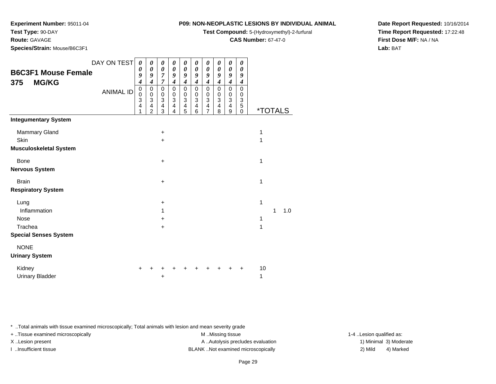**Test Compound:** 5-(Hydroxymethyl)-2-furfural

*00*

*00*

**CAS Number:** 67-47-0

**Date Report Requested:** 10/16/2014**Time Report Requested:** 17:22:48**First Dose M/F:** NA / NA**Lab:** BAT

Page 29

\* ..Total animals with tissue examined microscopically; Total animals with lesion and mean severity grade

**375 MG/KG**ANIMAL ID *0 9 4* 0 0341*0 0 9 4* 0 0342*0 0 7 7* 0 0343*0 0 9 4* 0 0344*0 0 9 4* 0 0345 *9 4* 0 0346*0 0 9 4* 0 0347*0 0 9 4* 0 0348 *9 4* 0 0349 *9 4* 0 035**Integ** Ma + 1 Ski n  $+$  1 **Musc** Bon + 1 **Nerv Bra** n  $+$  1 **Resp** Lung $9$  + 1  $In$ Nos + 1 Tra a and  $+$  1 **Speci** N<sub>O</sub> **Urinary System**Kidney $\mathsf y$ <sup>+</sup> <sup>+</sup> <sup>+</sup> <sup>+</sup> <sup>+</sup> <sup>+</sup> <sup>+</sup> <sup>+</sup> + 10

*0*

*00*

+ ..Tissue examined microscopically examined microscopically examined as:  $M$  ..Missing tissue 1-4 ..Lesion qualified as:

|  | Urinary System |  |
|--|----------------|--|
|  |                |  |

| __              |                     |  |  |  |  |  |
|-----------------|---------------------|--|--|--|--|--|
| Kidney          | + + + + + + + + + + |  |  |  |  |  |
| Urinary Bladder |                     |  |  |  |  |  |

DAY ON TEST

**Experiment Number:** 95011-04

**Test Type:** 90-DAY

**Route:** GAVAGE

**Species/Strain:** Mouse/B6C3F1

**B6C3F1 Mouse Female**

|                     | $\overline{3}$<br>$\overline{\mathbf{4}}$ | $\sqrt{3}$          | $\sqrt{3}$<br>$\overline{4}$ | $\ensuremath{\mathsf{3}}$<br>$\overline{\mathbf{4}}$ | $\overline{3}$<br>$\overline{4}$ | $\overline{3}$ | $\overline{3}$                   | $\overline{3}$               | $\overline{3}$<br>$\overline{4}$ | $\ensuremath{\mathsf{3}}$<br>5 |                       |   |     |  |
|---------------------|-------------------------------------------|---------------------|------------------------------|------------------------------------------------------|----------------------------------|----------------|----------------------------------|------------------------------|----------------------------------|--------------------------------|-----------------------|---|-----|--|
|                     | 1                                         | 4<br>$\overline{2}$ | 3                            | 4                                                    | 5                                | 4<br>6         | $\overline{4}$<br>$\overline{7}$ | $\overline{\mathbf{4}}$<br>8 | 9                                | 0                              | <i><b>*TOTALS</b></i> |   |     |  |
| umentary System     |                                           |                     |                              |                                                      |                                  |                |                                  |                              |                                  |                                |                       |   |     |  |
| mmary Gland         |                                           |                     | $\ddot{}$                    |                                                      |                                  |                |                                  |                              |                                  |                                | 1                     |   |     |  |
| in                  |                                           |                     | $\ddot{}$                    |                                                      |                                  |                |                                  |                              |                                  |                                |                       |   |     |  |
| culoskeletal System |                                           |                     |                              |                                                      |                                  |                |                                  |                              |                                  |                                |                       |   |     |  |
| ne                  |                                           |                     | $\ddot{}$                    |                                                      |                                  |                |                                  |                              |                                  |                                | 1                     |   |     |  |
| ous System          |                                           |                     |                              |                                                      |                                  |                |                                  |                              |                                  |                                |                       |   |     |  |
| ain                 |                                           |                     | $\ddot{}$                    |                                                      |                                  |                |                                  |                              |                                  |                                | 1                     |   |     |  |
| iratory System      |                                           |                     |                              |                                                      |                                  |                |                                  |                              |                                  |                                |                       |   |     |  |
| ng                  |                                           |                     | $\ddot{}$                    |                                                      |                                  |                |                                  |                              |                                  |                                | 1                     |   |     |  |
| <b>iflammation</b>  |                                           |                     | 1                            |                                                      |                                  |                |                                  |                              |                                  |                                |                       | 1 | 1.0 |  |
| se                  |                                           |                     | $\ddot{}$                    |                                                      |                                  |                |                                  |                              |                                  |                                | 1                     |   |     |  |
| achea               |                                           |                     | $\ddot{}$                    |                                                      |                                  |                |                                  |                              |                                  |                                | 1                     |   |     |  |
| ial Senses System   |                                           |                     |                              |                                                      |                                  |                |                                  |                              |                                  |                                |                       |   |     |  |
| )NE                 |                                           |                     |                              |                                                      |                                  |                |                                  |                              |                                  |                                |                       |   |     |  |
| <b>iry System</b>   |                                           |                     |                              |                                                      |                                  |                |                                  |                              |                                  |                                |                       |   |     |  |
| Jnav                |                                           |                     |                              |                                                      |                                  |                |                                  |                              |                                  | + + + + + + + + + +            | 10                    |   |     |  |

X..Lesion present **A ..Autolysis precludes evaluation** A ..Autolysis precludes evaluation 1) Minimal 3) Moderate I ..Insufficient tissue BLANK ..Not examined microscopically 2) Mild 4) Marked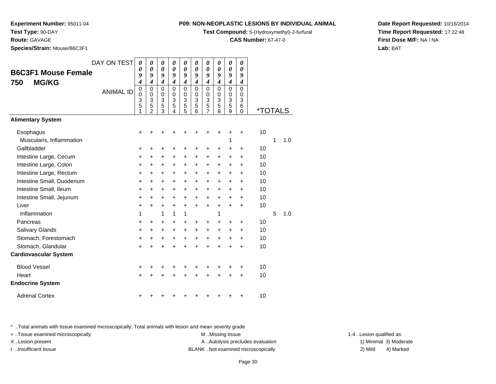**Test Compound:** 5-(Hydroxymethyl)-2-furfural

**CAS Number:** 67-47-0

**Date Report Requested:** 10/16/2014**Time Report Requested:** 17:22:48**First Dose M/F:** NA / NA**Lab:** BAT

**Route:** GAVAGE

**Test Type:** 90-DAY

**Experiment Number:** 95011-04

| Species/Strain: Mouse/B6C3F1                      |                  |                                           |                                                                |                                                                |                                                     |                                                     |                                                                         |                                                     |                                                     |                                                     |                                                     |                       |   |     |
|---------------------------------------------------|------------------|-------------------------------------------|----------------------------------------------------------------|----------------------------------------------------------------|-----------------------------------------------------|-----------------------------------------------------|-------------------------------------------------------------------------|-----------------------------------------------------|-----------------------------------------------------|-----------------------------------------------------|-----------------------------------------------------|-----------------------|---|-----|
| <b>B6C3F1 Mouse Female</b><br><b>MG/KG</b><br>750 | DAY ON TEST      | 0<br>0<br>9<br>$\boldsymbol{4}$           | 0<br>$\boldsymbol{\theta}$<br>9<br>$\overline{\boldsymbol{4}}$ | 0<br>0<br>9<br>$\boldsymbol{4}$                                | $\boldsymbol{\theta}$<br>0<br>9<br>$\boldsymbol{4}$ | 0<br>$\boldsymbol{\theta}$<br>9<br>$\boldsymbol{4}$ | $\boldsymbol{\theta}$<br>$\boldsymbol{\theta}$<br>9<br>$\boldsymbol{4}$ | 0<br>$\boldsymbol{\theta}$<br>9<br>$\boldsymbol{4}$ | 0<br>$\boldsymbol{\theta}$<br>9<br>$\boldsymbol{4}$ | 0<br>$\boldsymbol{\theta}$<br>9<br>$\boldsymbol{4}$ | 0<br>$\boldsymbol{\theta}$<br>9<br>$\boldsymbol{4}$ |                       |   |     |
|                                                   | <b>ANIMAL ID</b> | $\mathbf 0$<br>$\mathbf 0$<br>3<br>5<br>1 | $\mathbf 0$<br>0<br>3<br>$\mathbf 5$<br>$\mathfrak{p}$         | $\mathbf 0$<br>0<br>$\ensuremath{\mathsf{3}}$<br>$\frac{5}{3}$ | $\Omega$<br>$\Omega$<br>3<br>5<br>4                 | $\mathbf 0$<br>0<br>3<br>5<br>5                     | $\mathbf 0$<br>0<br>3<br>5<br>6                                         | $\Omega$<br>0<br>3<br>5<br>$\overline{7}$           | $\Omega$<br>0<br>3<br>5<br>8                        | $\Omega$<br>0<br>3<br>5<br>9                        | $\mathbf 0$<br>0<br>3<br>6<br>$\Omega$              | <i><b>*TOTALS</b></i> |   |     |
| <b>Alimentary System</b>                          |                  |                                           |                                                                |                                                                |                                                     |                                                     |                                                                         |                                                     |                                                     |                                                     |                                                     |                       |   |     |
| Esophagus<br>Muscularis, Inflammation             |                  | +                                         |                                                                |                                                                |                                                     |                                                     |                                                                         |                                                     | ٠                                                   | +<br>1                                              | $\ddot{}$                                           | 10                    | 1 | 1.0 |
| Gallbladder                                       |                  | ٠                                         | +                                                              | +                                                              | +                                                   | +                                                   |                                                                         |                                                     | ٠                                                   | +                                                   | $\ddot{}$                                           | 10                    |   |     |
| Intestine Large, Cecum                            |                  | +                                         | +                                                              | $\ddot{}$                                                      | $\ddot{}$                                           | $\ddot{}$                                           | $\ddot{}$                                                               | $\ddot{}$                                           | $\ddot{}$                                           | +                                                   | +                                                   | 10                    |   |     |
| Intestine Large, Colon                            |                  | $\ddot{}$                                 | $\ddot{}$                                                      | $\ddot{}$                                                      | $\ddot{}$                                           | $\ddot{}$                                           | $\ddot{}$                                                               | $\ddot{}$                                           | $\ddot{}$                                           | $\ddot{}$                                           | $\ddot{}$                                           | 10                    |   |     |
| Intestine Large, Rectum                           |                  | +                                         | $\ddot{}$                                                      | +                                                              | +                                                   | +                                                   | +                                                                       | $\ddot{}$                                           | $\ddot{}$                                           | $\ddot{}$                                           | $\ddot{}$                                           | 10                    |   |     |
| Intestine Small, Duodenum                         |                  | +                                         | +                                                              | +                                                              | +                                                   | +                                                   | +                                                                       | +                                                   | +                                                   | +                                                   | +                                                   | 10                    |   |     |
| Intestine Small, Ileum                            |                  | +                                         | $\ddot{}$                                                      | $\ddot{}$                                                      | +                                                   | +                                                   | $\ddot{}$                                                               | $\ddot{}$                                           | +                                                   | +                                                   | $\ddot{}$                                           | 10                    |   |     |
| Intestine Small, Jejunum                          |                  | +                                         | $\ddot{}$                                                      | $\ddot{}$                                                      | +                                                   | +                                                   | $\ddot{}$                                                               | $\ddot{}$                                           | $\ddot{}$                                           | +                                                   | +                                                   | 10                    |   |     |
| Liver                                             |                  | $\ddot{}$                                 | $\ddot{}$                                                      | $+$                                                            | $\ddot{}$                                           | $\ddot{}$                                           | $\ddot{}$                                                               | $\ddot{}$                                           | $\ddot{}$                                           | $\ddot{}$                                           | $\ddot{}$                                           | 10                    |   |     |
| Inflammation                                      |                  | 1                                         |                                                                | 1                                                              | 1                                                   | 1                                                   |                                                                         |                                                     | 1                                                   |                                                     |                                                     |                       | 5 | 1.0 |
| Pancreas                                          |                  | $\ddot{}$                                 | ÷                                                              | $\ddot{}$                                                      | $\ddot{}$                                           | +                                                   | +                                                                       | ÷                                                   | $\ddot{}$                                           | ٠                                                   | $\ddot{}$                                           | 10                    |   |     |
| Salivary Glands                                   |                  | $\ddot{}$                                 | $\ddot{}$                                                      | $\ddot{}$                                                      | $\ddot{}$                                           | $\ddot{}$                                           | $\ddot{}$                                                               | $\ddot{}$                                           | $\ddot{}$                                           | $\ddot{}$                                           | $\ddot{}$                                           | 10                    |   |     |
| Stomach, Forestomach                              |                  | +                                         | +                                                              | $\ddot{}$                                                      | $\ddot{}$                                           | $\ddot{}$                                           | $\ddot{}$                                                               | $\ddot{}$                                           | +                                                   | +                                                   | +                                                   | 10                    |   |     |
| Stomach, Glandular                                |                  | $\ddot{}$                                 | $\ddot{}$                                                      | $\ddot{}$                                                      | $\ddot{}$                                           | $\pm$                                               | $\ddot{}$                                                               | $\ddot{}$                                           | $\ddot{}$                                           | +                                                   | $\ddot{}$                                           | 10                    |   |     |
| <b>Cardiovascular System</b>                      |                  |                                           |                                                                |                                                                |                                                     |                                                     |                                                                         |                                                     |                                                     |                                                     |                                                     |                       |   |     |
| <b>Blood Vessel</b>                               |                  | +                                         |                                                                | +                                                              |                                                     |                                                     |                                                                         |                                                     |                                                     | +                                                   | ÷                                                   | 10                    |   |     |
| Heart                                             |                  | $\ddot{}$                                 |                                                                |                                                                |                                                     |                                                     |                                                                         |                                                     | ÷                                                   | $\ddot{}$                                           | $\ddot{}$                                           | 10                    |   |     |
| <b>Endocrine System</b>                           |                  |                                           |                                                                |                                                                |                                                     |                                                     |                                                                         |                                                     |                                                     |                                                     |                                                     |                       |   |     |
| <b>Adrenal Cortex</b>                             |                  | +                                         |                                                                |                                                                |                                                     |                                                     |                                                                         |                                                     |                                                     |                                                     | ٠                                                   | 10                    |   |     |

\* ..Total animals with tissue examined microscopically; Total animals with lesion and mean severity grade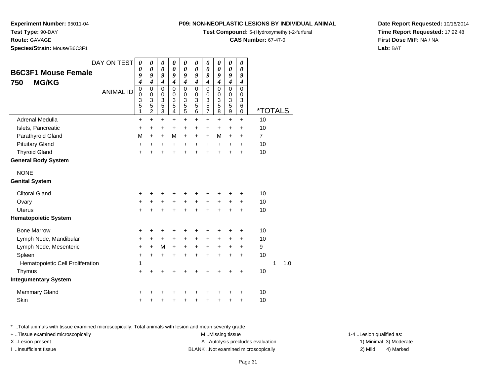**Test Compound:** 5-(Hydroxymethyl)-2-furfural

**CAS Number:** 67-47-0

**Date Report Requested:** 10/16/2014**Time Report Requested:** 17:22:48**First Dose M/F:** NA / NA**Lab:** BAT

**Experiment Number:** 95011-04**Test Type:** 90-DAY**Route:** GAVAGE**Species/Strain:** Mouse/B6C3F1

| DAY ON TEST<br><b>B6C3F1 Mouse Female</b><br><b>MG/KG</b><br>750 | 0<br>0<br>9<br>$\overline{\boldsymbol{4}}$     | 0<br>$\boldsymbol{\theta}$<br>9<br>$\overline{\boldsymbol{4}}$                        | 0<br>$\boldsymbol{\theta}$<br>9<br>$\overline{\boldsymbol{4}}$ | 0<br>$\boldsymbol{\theta}$<br>9<br>$\boldsymbol{4}$    | 0<br>$\boldsymbol{\theta}$<br>9<br>$\boldsymbol{4}$              | 0<br>0<br>9<br>$\overline{\boldsymbol{4}}$ | 0<br>$\boldsymbol{\theta}$<br>9<br>$\overline{\boldsymbol{4}}$ | 0<br>$\boldsymbol{\theta}$<br>9<br>$\boldsymbol{4}$ | 0<br>$\boldsymbol{\theta}$<br>9<br>$\boldsymbol{4}$      | 0<br>0<br>9<br>$\boldsymbol{4}$           |                |   |     |
|------------------------------------------------------------------|------------------------------------------------|---------------------------------------------------------------------------------------|----------------------------------------------------------------|--------------------------------------------------------|------------------------------------------------------------------|--------------------------------------------|----------------------------------------------------------------|-----------------------------------------------------|----------------------------------------------------------|-------------------------------------------|----------------|---|-----|
| <b>ANIMAL ID</b>                                                 | $\boldsymbol{0}$<br>$\mathbf 0$<br>3<br>5<br>1 | $\pmb{0}$<br>$\mathbf 0$<br>$\ensuremath{\mathsf{3}}$<br>$\sqrt{5}$<br>$\overline{2}$ | 0<br>$\mathbf 0$<br>3<br>5<br>$\overline{3}$                   | $\mathbf 0$<br>$\mathbf 0$<br>3<br>$\overline{5}$<br>4 | 0<br>$\mathbf 0$<br>$\begin{array}{c}\n3 \\ 5 \\ 5\n\end{array}$ | $\mathbf 0$<br>$\mathsf 0$<br>3<br>5<br>6  | 0<br>$\mathbf 0$<br>$\frac{3}{5}$<br>$\overline{7}$            | 0<br>$\mathbf 0$<br>3<br>5<br>8                     | $\mathsf 0$<br>$\mathbf 0$<br>3<br>5<br>$\boldsymbol{9}$ | $\mathbf 0$<br>$\mathbf 0$<br>3<br>6<br>0 | *TOTALS        |   |     |
| Adrenal Medulla                                                  | $\ddot{}$                                      | $\ddot{}$                                                                             | $\ddot{}$                                                      | $\ddot{}$                                              | $\ddot{}$                                                        | $\ddot{}$                                  | $+$                                                            | $\ddot{}$                                           | $\ddot{}$                                                | $\ddot{}$                                 | 10             |   |     |
| Islets, Pancreatic                                               | $\ddot{}$                                      | $\ddot{}$                                                                             | +                                                              | $\ddot{}$                                              | +                                                                | $\pm$                                      | +                                                              | $\pm$                                               | +                                                        | $\ddot{}$                                 | 10             |   |     |
| Parathyroid Gland                                                | M                                              | $\ddot{}$                                                                             | $\ddot{}$                                                      | М                                                      | $\ddot{}$                                                        | +                                          | $\ddot{}$                                                      | М                                                   | +                                                        | $\ddot{}$                                 | $\overline{7}$ |   |     |
| <b>Pituitary Gland</b>                                           | $\ddot{}$                                      | $\ddot{}$                                                                             | +                                                              | $\ddot{}$                                              | $\ddot{}$                                                        | $\ddot{}$                                  | $\ddot{}$                                                      | $\ddot{}$                                           | $\ddot{}$                                                | $\ddot{}$                                 | 10             |   |     |
| <b>Thyroid Gland</b>                                             | $\ddot{}$                                      |                                                                                       | $\ddot{}$                                                      | $\ddot{}$                                              | $\ddot{}$                                                        | ÷                                          | $\ddot{}$                                                      | $\ddot{}$                                           | Ŧ.                                                       | $\ddot{}$                                 | 10             |   |     |
| <b>General Body System</b>                                       |                                                |                                                                                       |                                                                |                                                        |                                                                  |                                            |                                                                |                                                     |                                                          |                                           |                |   |     |
| <b>NONE</b>                                                      |                                                |                                                                                       |                                                                |                                                        |                                                                  |                                            |                                                                |                                                     |                                                          |                                           |                |   |     |
| <b>Genital System</b>                                            |                                                |                                                                                       |                                                                |                                                        |                                                                  |                                            |                                                                |                                                     |                                                          |                                           |                |   |     |
| Clitoral Gland                                                   | +                                              | +                                                                                     | +                                                              | +                                                      | +                                                                | +                                          | +                                                              |                                                     |                                                          | +                                         | 10             |   |     |
| Ovary                                                            | +                                              | +                                                                                     | +                                                              | +                                                      | +                                                                | +                                          | +                                                              | +                                                   | +                                                        | +                                         | 10             |   |     |
| <b>Uterus</b>                                                    | $\ddot{}$                                      | $\ddot{}$                                                                             | $\ddot{}$                                                      | $\ddot{}$                                              | $\ddot{}$                                                        | $\ddot{}$                                  | $\ddot{}$                                                      | $\ddot{}$                                           | $\ddot{}$                                                | $\ddot{}$                                 | 10             |   |     |
| <b>Hematopoietic System</b>                                      |                                                |                                                                                       |                                                                |                                                        |                                                                  |                                            |                                                                |                                                     |                                                          |                                           |                |   |     |
| <b>Bone Marrow</b>                                               | +                                              | +                                                                                     | +                                                              | +                                                      | ٠                                                                | +                                          | ٠                                                              | +                                                   | ٠                                                        | +                                         | 10             |   |     |
| Lymph Node, Mandibular                                           | $\ddot{}$                                      | $\ddot{}$                                                                             | $\ddot{}$                                                      | $\ddot{}$                                              | $\ddot{}$                                                        | $\ddot{}$                                  | $\ddot{}$                                                      | +                                                   | $\ddot{}$                                                | $\ddot{}$                                 | 10             |   |     |
| Lymph Node, Mesenteric                                           | $\ddot{}$                                      | $\ddot{}$                                                                             | M                                                              | $\ddot{}$                                              | +                                                                | +                                          | +                                                              | +                                                   | +                                                        | +                                         | 9              |   |     |
| Spleen                                                           | +                                              | $\ddot{}$                                                                             | $\ddot{}$                                                      | $\ddot{}$                                              | $\ddot{}$                                                        | $\ddot{}$                                  | $\ddot{}$                                                      | $\ddot{}$                                           | $\ddot{}$                                                | $\ddot{}$                                 | 10             |   |     |
| Hematopoietic Cell Proliferation                                 | 1                                              |                                                                                       |                                                                |                                                        |                                                                  |                                            |                                                                |                                                     |                                                          |                                           |                | 1 | 1.0 |
| Thymus                                                           | $\ddot{}$                                      |                                                                                       | +                                                              |                                                        | +                                                                |                                            |                                                                |                                                     | +                                                        | +                                         | 10             |   |     |
| <b>Integumentary System</b>                                      |                                                |                                                                                       |                                                                |                                                        |                                                                  |                                            |                                                                |                                                     |                                                          |                                           |                |   |     |
| Mammary Gland                                                    | +                                              |                                                                                       |                                                                |                                                        |                                                                  |                                            |                                                                |                                                     |                                                          | +                                         | 10             |   |     |
| Skin                                                             | +                                              | +                                                                                     | +                                                              | +                                                      | +                                                                | +                                          | +                                                              | ٠                                                   | ٠                                                        | +                                         | 10             |   |     |

\* ..Total animals with tissue examined microscopically; Total animals with lesion and mean severity grade